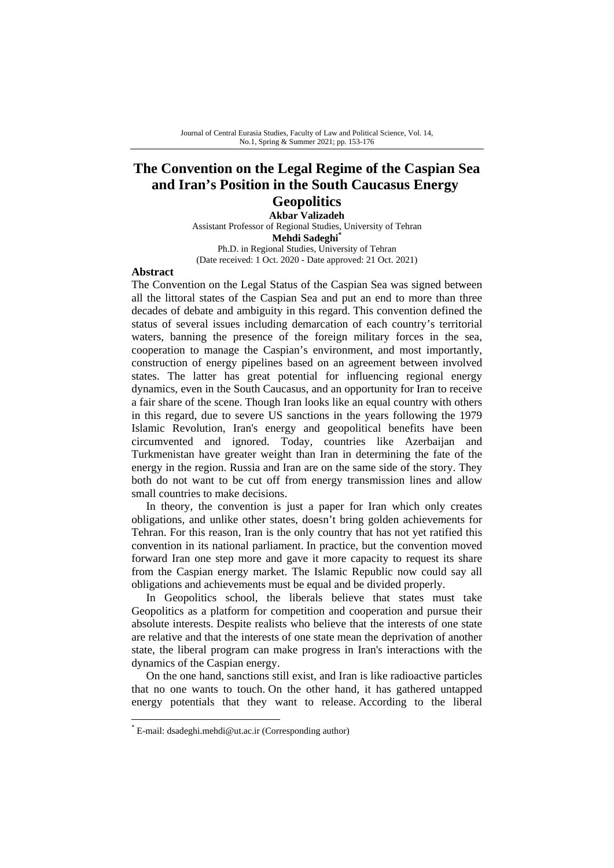# **The Convention on the Legal Regime of the Caspian Sea and Iran's Position in the South Caucasus Energy**

### **Geopolitics**

**Akbar Valizadeh**  Assistant Professor of Regional Studies, University of Tehran **Mehdi Sadeghi\***  Ph.D. in Regional Studies, University of Tehran (Date received: 1 Oct. 2020 - Date approved: 21 Oct. 2021)

#### **Abstract**

The Convention on the Legal Status of the Caspian Sea was signed between all the littoral states of the Caspian Sea and put an end to more than three decades of debate and ambiguity in this regard. This convention defined the status of several issues including demarcation of each country's territorial waters, banning the presence of the foreign military forces in the sea, cooperation to manage the Caspian's environment, and most importantly, construction of energy pipelines based on an agreement between involved states. The latter has great potential for influencing regional energy dynamics, even in the South Caucasus, and an opportunity for Iran to receive a fair share of the scene. Though Iran looks like an equal country with others in this regard, due to severe US sanctions in the years following the 1979 Islamic Revolution, Iran's energy and geopolitical benefits have been circumvented and ignored. Today, countries like Azerbaijan and Turkmenistan have greater weight than Iran in determining the fate of the energy in the region. Russia and Iran are on the same side of the story. They both do not want to be cut off from energy transmission lines and allow small countries to make decisions.

In theory, the convention is just a paper for Iran which only creates obligations, and unlike other states, doesn't bring golden achievements for Tehran. For this reason, Iran is the only country that has not yet ratified this convention in its national parliament. In practice, but the convention moved forward Iran one step more and gave it more capacity to request its share from the Caspian energy market. The Islamic Republic now could say all obligations and achievements must be equal and be divided properly.

In Geopolitics school, the liberals believe that states must take Geopolitics as a platform for competition and cooperation and pursue their absolute interests. Despite realists who believe that the interests of one state are relative and that the interests of one state mean the deprivation of another state, the liberal program can make progress in Iran's interactions with the dynamics of the Caspian energy.

On the one hand, sanctions still exist, and Iran is like radioactive particles that no one wants to touch. On the other hand, it has gathered untapped energy potentials that they want to release. According to the liberal

<sup>\*</sup> E-mail: dsadeghi.mehdi@ut.ac.ir (Corresponding author)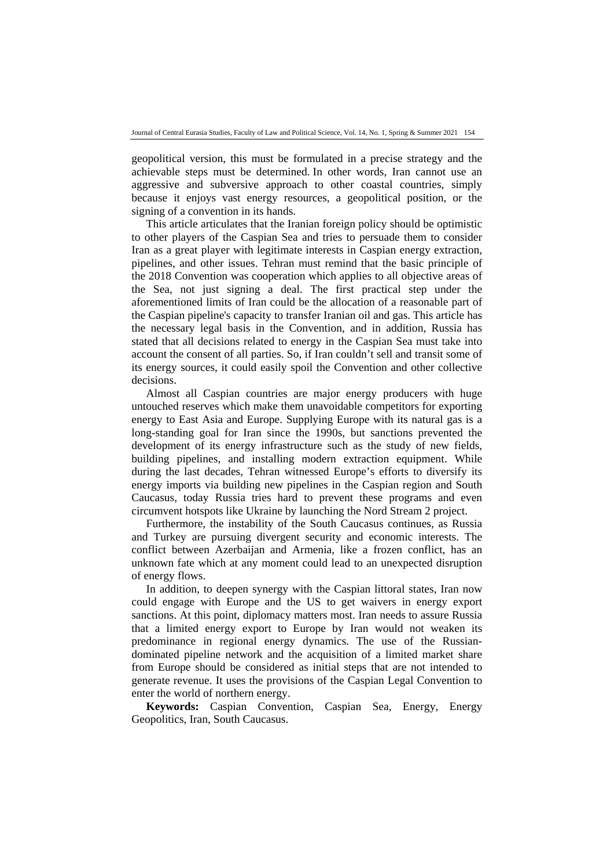geopolitical version, this must be formulated in a precise strategy and the achievable steps must be determined. In other words, Iran cannot use an aggressive and subversive approach to other coastal countries, simply because it enjoys vast energy resources, a geopolitical position, or the signing of a convention in its hands.

This article articulates that the Iranian foreign policy should be optimistic to other players of the Caspian Sea and tries to persuade them to consider Iran as a great player with legitimate interests in Caspian energy extraction, pipelines, and other issues. Tehran must remind that the basic principle of the 2018 Convention was cooperation which applies to all objective areas of the Sea, not just signing a deal. The first practical step under the aforementioned limits of Iran could be the allocation of a reasonable part of the Caspian pipeline's capacity to transfer Iranian oil and gas. This article has the necessary legal basis in the Convention, and in addition, Russia has stated that all decisions related to energy in the Caspian Sea must take into account the consent of all parties. So, if Iran couldn't sell and transit some of its energy sources, it could easily spoil the Convention and other collective decisions.

Almost all Caspian countries are major energy producers with huge untouched reserves which make them unavoidable competitors for exporting energy to East Asia and Europe. Supplying Europe with its natural gas is a long-standing goal for Iran since the 1990s, but sanctions prevented the development of its energy infrastructure such as the study of new fields, building pipelines, and installing modern extraction equipment. While during the last decades, Tehran witnessed Europe's efforts to diversify its energy imports via building new pipelines in the Caspian region and South Caucasus, today Russia tries hard to prevent these programs and even circumvent hotspots like Ukraine by launching the Nord Stream 2 project.

Furthermore, the instability of the South Caucasus continues, as Russia and Turkey are pursuing divergent security and economic interests. The conflict between Azerbaijan and Armenia, like a frozen conflict, has an unknown fate which at any moment could lead to an unexpected disruption of energy flows.

In addition, to deepen synergy with the Caspian littoral states, Iran now could engage with Europe and the US to get waivers in energy export sanctions. At this point, diplomacy matters most. Iran needs to assure Russia that a limited energy export to Europe by Iran would not weaken its predominance in regional energy dynamics. The use of the Russiandominated pipeline network and the acquisition of a limited market share from Europe should be considered as initial steps that are not intended to generate revenue. It uses the provisions of the Caspian Legal Convention to enter the world of northern energy.

**Keywords:** Caspian Convention, Caspian Sea, Energy, Energy Geopolitics, Iran, South Caucasus.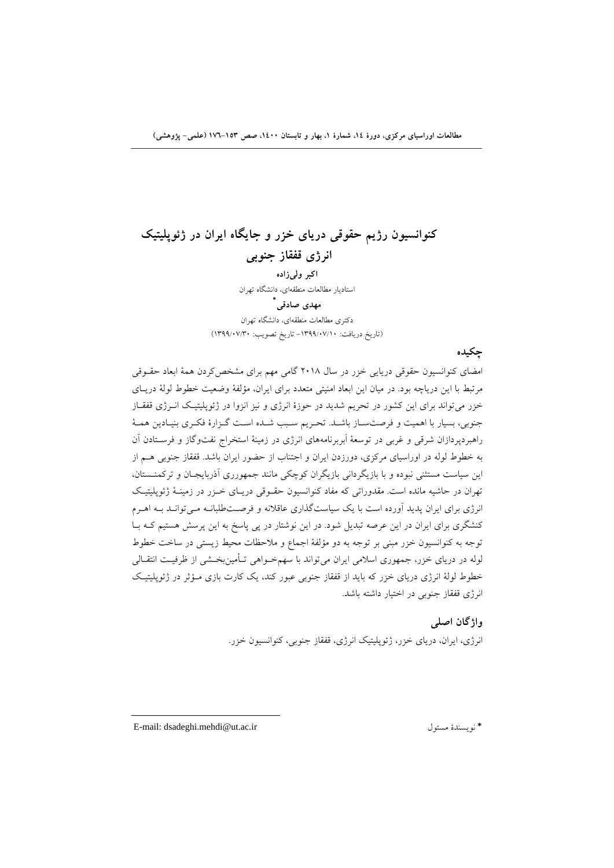## **كنوانسيون رژيم حقوقي درياي خزر و جايگاه ايران در ژئوپليتيك انرژي قفقاز جنوبي اكبر وليزاده**  استاديار مطالعات منطقهاي، دانشگاه تهران  **\* مهدي صادقي**

دكتري مطالعات منطقهاي، دانشگاه تهران (تاريخ دريافت: -1399/07/10 تاريخ تصويب: 1399/07/30)

**چكيده** 

امضاي كنوانسيون حقوقي دريايي خزر در سال 2018 گامي مهم براي مشخصكردن همة ابعاد حقـوقي مرتبط با اين درياچه بود. در ميان اين ابعاد امنيتي متعدد براي ايران، مؤلفة وضعيت خطوط لولة دريـاي خزر ميتواند براي اين كشور در تحريم شديد در حوزة انرژي و نيز انزوا در ژئوپليتيـك انـرژي قفقـاز جنوبي، بسيار با اهميت و فرصتسـاز باشـد. تحـريم سـبب شـده اسـت گـزارة فكـري بنيـادين همـة راهبردپردازان شرقي و غربي در توسعة اَبربرنامههاي انرژي در زمينة استخراج نفتوگاز و فرسـتادن آن به خطوط لوله در اوراسياي مركزي، دورزدن ايران و اجتناب از حضور ايران باشد. قفقاز جنوبي هـم از اين سياست مستثني نبوده و با بازيگرداني بازيگران كوچكي مانند جمهورري آذربايجـان و تركمنـستان، تهران در حاشيه مانده است. مقدوراتي كه مفاد كنوانسيون حقـوقي دريـاي خـزر در زمينـة ژئوپليتيـك انرژي براي ايران پديد آورده است با يك سياستگذاري عاقلانه و فرصـتطلبانـه مـيتوانـد بـه اهـرم كنشگري براي ايران در اين عرصه تبديل شود. در اين نوشتار در پي پاسخ به اين پرسش هستيم كـه بـا توجه به كنوانسيون خزر مبني بر توجه به دو مؤلفة اجماع و ملاحظات محيط زيستي در ساخت خطوط لوله در درياي خزر، جمهوري اسلامي ايران ميتواند با سهمخـواهي تـأمينبخـشي از ظرفيـت انتقـالي خطوط لولة انرژي درياي خزر كه بايد از قفقاز جنوبي عبور كند، يك كارت بازي مـؤثر در ژئوپليتيـك انرژي قفقاز جنوبي در اختيار داشته باشد.

**واژگان اصلي** 

انرژي، ايران، درياي خزر، ژئوپليتيك انرژي، قفقاز جنوبي، كنوانسيون خزر.

E-mail: dsadeghi.mehdi@ut.ac.ir مسئول نويسندة\*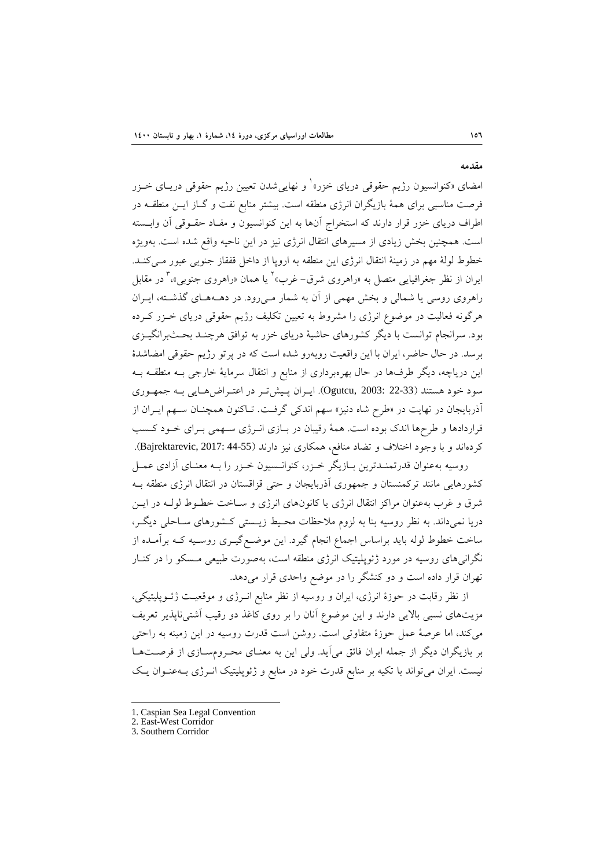امضاي «كنوانسيون رژيم حقوقي درياي خزر»<sup>1</sup> و نهايي شدن تعيين رژيم حقوقي دريـاي خــزر فرصت مناسبي براي همة بازيگران انرژي منطقه است. بيشتر منابع نفت و گـاز ايـن منطقـه در اطراف درياي خزر قرار دارند كه استخراج آنها به اين كنوانسيون و مفـاد حقـوقي آن وابـسته است. همچنين بخش زيادي از مسيرهاي انتقال انرژي نيز در اين ناحيه واقع شده است. بهويژه خطوط لولة مهم در زمينة انتقال انرژي اين منطقه به اروپا از داخل قفقاز جنوبي عبور مـيكنـد. ايران از نظر جغرافيايي متصل به «راهروي شرق- غرب»<sup>٬</sup> يا همان «راهروي جنوبي»، ٌ در مقابل راهروي روسي يا شمالي و بخش مهمي از آن به شمار مـيرود. در دهـههـاي گذشـته، ايـران هرگونه فعاليت در موضوع انرژي را مشروط به تعيين تكليف رژيم حقوقي درياي خـزر كـرده بود. سرانجام توانست با ديگر كشورهاي حاشية درياي خزر به توافق هرچنـد بحـثبرانگيـزي برسد. در حال حاضر، ايران با اين واقعيت روبهرو شده است كه در پرتو رژيم حقوقي امضاشدة اين درياچه، ديگر طرفها در حال بهرهبرداري از منابع و انتقال سرماية خارجي بـه منطقـه بـه سود خود هستند (22-33 2003: ,Ogutcu(. ايـران پـيشتـر در اعتـراضهـايي بـه جمهـوري آذربايجان در نهايت در «طرح شاه دنيز» سهم اندكي گرفـت. تـاكنون همچنـان سـهم ايـران از قراردادها و طرحها اندك بوده است. همة رقيبان در بـازي انـرژي سـهمي بـراي خـود كـسب كردهاند و با وجود اختلاف و تضاد منافع، همكاري نيز دارند (44-55 2017: ,Bajrektarevic(.

روسيه بهعنوان قدرتمنـدترين بـازيگر خـزر، كنوانـسيون خـزر را بـه معنـاي آزادي عمـل كشورهايي مانند تركمنستان و جمهوري آذربايجان و حتي قزاقستان در انتقال انرژي منطقه بـه شرق و غرب بهعنوان مراكز انتقال انرژي يا كانونهاي انرژي و سـاخت خطـوط لولـه در ايـن دريا نميداند. به نظر روسيه بنا به لزوم ملاحظات محـيط زيـستي كـشورهاي سـاحلي ديگـر، ساخت خطوط لوله بايد براساس اجماع انجام گيرد. اين موضـعگيـري روسـيه كـه برآمـده از نگرانيهاي روسيه در مورد ژئوپليتيك انرژي منطقه است، بهصورت طبيعي مـسكو را در كنـار تهران قرار داده است و دو كنشگر را در موضع واحدي قرار ميدهد.

از نظر رقابت در حوزة انرژي، ايران و روسيه از نظر منابع انـرژي و موقعيـت ژئـوپليتيكي، مزيتهاي نسبي بالايي دارند و اين موضوع آنان را بر روي كاغذ دو رقيب آشتيناپذير تعريف ميكند، اما عرصة عمل حوزة متفاوتي است. روشن است قدرت روسيه در اين زمينه به راحتي بر بازيگران ديگر از جمله ايران فائق ميآيد. ولي اين به معنـاي محـرومسـازي از فرصـتهـا نيست. ايران ميتواند با تكيه بر منابع قدرت خود در منابع و ژئوپليتيك انـرژي بـهعنـوان يـك

1. Caspian Sea Legal Convention

**مقدمه** 

<sup>2.</sup> East-West Corridor

<sup>3.</sup> Southern Corridor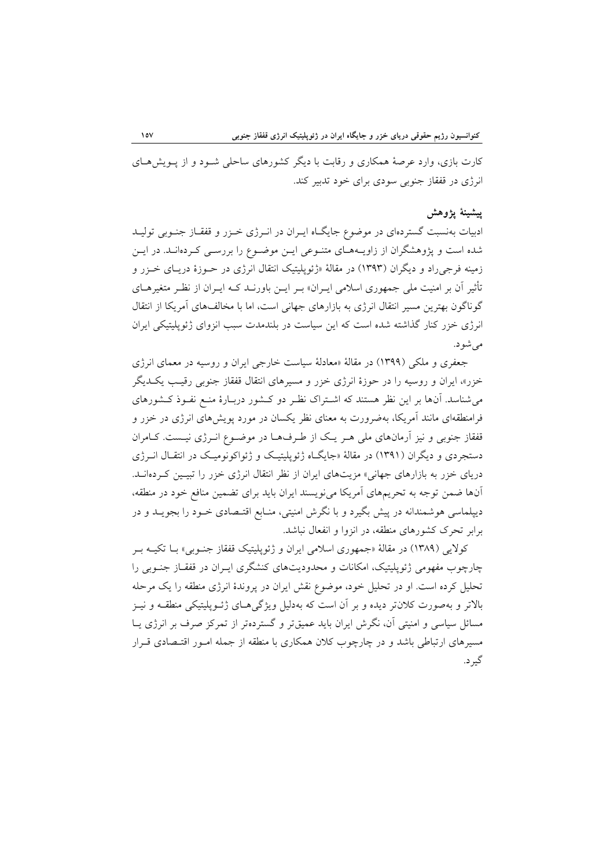كارت بازي، وارد عرصة همكاري و رقابت با ديگر كشورهاي ساحلي شـود و از پـويشهـاي انرژي در قفقاز جنوبي سودي براي خود تدبير كند.

#### **پيشينة پژوهش**

ادبيات بهنسبت گستردهاي در موضوع جايگـاه ايـران در انـرژي خـزر و قفقـاز جنـوبي توليـد شده است و پژوهشگران از زاويـههـاي متنـوعي ايـن موضـوع را بررسـي كـردهانـد. در ايـن زمينه فرجيراد و ديگران (1393) در مقالة «ژئوپليتيك انتقال انرژي در حـوزة دريـاي خـزر و تأثير آن بر امنيت ملي جمهوري اسلامي ايـران» بـر ايـن باورنـد كـه ايـران از نظـر متغيرهـاي گوناگون بهترين مسير انتقال انرژي به بازارهاي جهاني است، اما با مخالفهاي آمريكا از انتقال انرژي خزر كنار گذاشته شده است كه اين سياست در بلندمدت سبب انزواي ژئوپليتيكي ايران ميشود.

جعفري و ملكي (1399) در مقالة «معادلة سياست خارجي ايران و روسيه در معماي انرژي خزر»، ايران و روسيه را در حوزة انرژي خزر و مسيرهاي انتقال قفقاز جنوبي رقيـب يكـديگر ميشناسد. آنها بر اين نظر هستند كه اشـتراك نظـر دو كـشور دربـارة منـع نفـوذ كـشورهاي فرامنطقهاي مانند آمريكا، بهضرورت به معناي نظر يكسان در مورد پويشهاي انرژي در خزر و قفقاز جنوبي و نيز آرمانهاي ملي هـر يـك از طـرفهـا در موضـوع انـرژي نيـست. كـامران دستجردي و ديگران (1391) در مقالة «جايگـاه ژئوپليتيـك و ژئواكونوميـك در انتقـال انـرژي درياي خزر به بازارهاي جهاني» مزيتهاي ايران از نظر انتقال انرژي خزر را تبيـين كـردهانـد. آنها ضمن توجه به تحريمهاي آمريكا مينويسند ايران بايد براي تضمين منافع خود در منطقه، ديپلماسي هوشمندانه در پيش بگيرد و با نگرش امنيتي، منـابع اقتـصادي خـود را بجويـد و در برابر تحرك كشورهاي منطقه، در انزوا و انفعال نباشد.

كولايي (1389) در مقالة «جمهوري اسلامي ايران و ژئوپليتيك قفقاز جنـوبي» بـا تكيـه بـر چارچوب مفهومي ژئوپليتيك، امكانات و محدوديتهاي كنشگري ايـران در قفقـاز جنـوبي را تحليل كرده است. او در تحليل خود، موضوع نقش ايران در پروندة انرژي منطقه را يك مرحله بالاتر و بهصورت كلانتر ديده و بر آن است كه بهدليل ويژگيهـاي ژئـوپليتيكي منطقـه و نيـز مسائل سياسي و امنيتي آن، نگرش ايران بايد عميقتر و گستردهتر از تمركز صرف بر انرژي يـا مسيرهاي ارتباطي باشد و در چارچوب كلان همكاري با منطقه از جمله امـور اقتـصادي قـرار گيرد.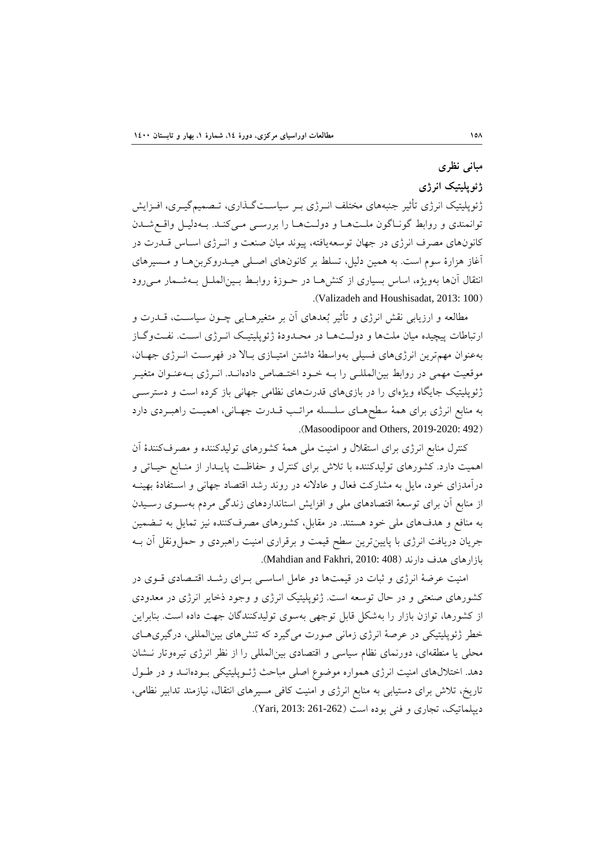## **مباني نظري**

### **ژئوپليتيك انرژي**

ژئوپليتيك انرژي تأثير جنبههاي مختلف انـرژي بـر سياسـتگـذاري، تـصميمگيـري، افـزايش توانمندي و روابط گونـاگون ملـتهـا و دولـتهـا را بررسـي مـيكنـد. بـهدليـل واقـعشـدن كانونهاي مصرف انرژي در جهان توسعهيافته، پيوند ميان صنعت و انـرژي اسـاس قـدرت در آغاز هزارة سوم است. به همين دليل، تسلط بر كانونهاي اصـلي هيـدروكربنهـا و مـسيرهاي انتقال آنها بهويژه، اساس بسياري از كنشهـا در حـوزة روابـط بـينالملـل بـهشـمار مـيرود .(Valizadeh and Houshisadat, 2013: 100)

مطالعه و ارزيابي نقش انرژي و تأثير بعدهاي آن بر متغيرهـايي چـون سياسـت، قـدرت و ارتباطات پيچيده ميان ملتها و دولـتهـا در محـدودة ژئوپليتيـك انـرژي اسـت. نفـتوگـاز بهعنوان مهمترين انرژيهاي فسيلي بهواسطة داشتن امتيـازي بـالا در فهرسـت انـرژي جهـان، موقعيت مهمي در روابط بينالمللـي را بـه خـود اختـصاص دادهانـد. انـرژي بـهعنـوان متغيـر ژئوپليتيك جايگاه ويژهاي را در بازيهاي قدرتهاي نظامي جهاني باز كرده است و دسترسـي به منابع انرژي براي همة سطحهـاي سلـسله مراتـب قـدرت جهـاني، اهميـت راهبـردي دارد .(Masoodipoor and Others, 2019-2020: 492)

كنترل منابع انرژي براي استقلال و امنيت ملي همة كشورهاي توليدكننده و مصرفكنندة آن اهميت دارد. كشورهاي توليدكننده با تلاش براي كنترل و حفاظـت پايـدار از منـابع حيـاتي و درآمدزاي خود، مايل به مشاركت فعال و عادلانه در روند رشد اقتصاد جهاني و اسـتفادة بهينـه از منابع آن براي توسعة اقتصادهاي ملي و افزايش استانداردهاي زندگي مردم بهسـوي رسـيدن به منافع و هدفهاي ملي خود هستند. در مقابل، كشورهاي مصرفكننده نيز تمايل به تـضمين جريان دريافت انرژي با پايينترين سطح قيمت و برقراري امنيت راهبردي و حملونقل آن بـه بازارهاي هدف دارند (408 Mahdian and Fakhri, 2010:

امنيت عرضة انرژي و ثبات در قيمتها دو عامل اساسـي بـراي رشـد اقتـصادي قـوي در كشورهاي صنعتي و در حال توسعه است. ژئوپليتيك انرژي و وجود ذخاير انرژي در معدودي از كشورها، توازن بازار را بهشكل قابل توجهي بهسوي توليدكنندگان جهت داده است. بنابراين خطر ژئوپليتيكي در عرصة انرژي زماني صورت ميگيرد كه تنشهاي بينالمللي، درگيريهـاي محلي يا منطقهاي، دورنماي نظام سياسي و اقتصادي بينالمللي را از نظر انرژي تيرهوتار نـشان دهد. اختلالهاي امنيت انرژي همواره موضوع اصلي مباحث ژئـوپليتيكي بـودهانـد و در طـول تاريخ، تلاش براي دستيابي به منابع انرژي و امنيت كافي مسيرهاي انتقال، نيازمند تدابير نظامي، ديپلماتيك، تجاري و فني بوده است (261-262 2013: ,Yari(.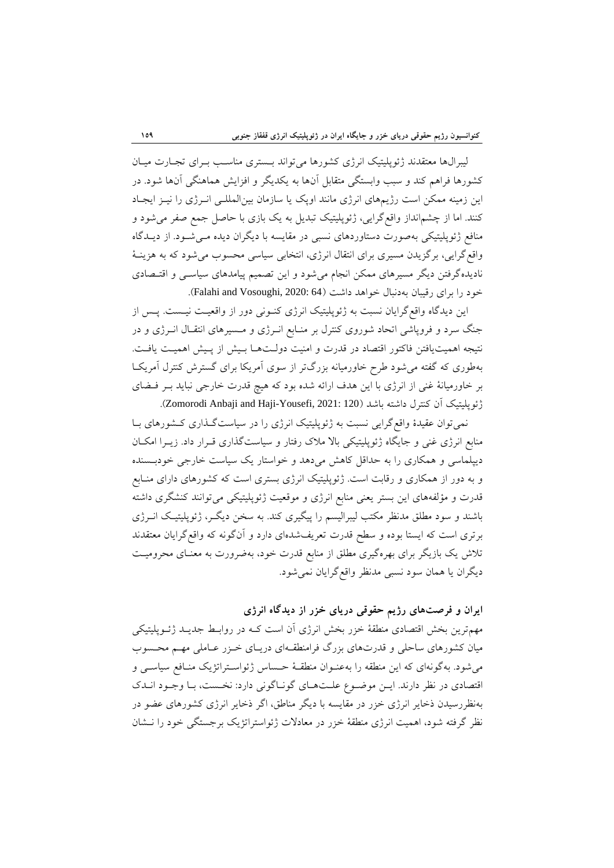ليبرالها معتقدند ژئوپليتيك انرژي كشورها ميتواند بـستري مناسـب بـراي تجـارت ميـان كشورها فراهم كند و سبب وابستگي متقابل آنها به يكديگر و افزايش هماهنگي آنها شود. در اين زمينه ممكن است رژيمهاي انرژي مانند اوپك يا سازمان بينالمللـي انـرژي را نيـز ايجـاد كنند. اما از چشمانداز واقعگرايي، ژئوپليتيك تبديل به يك بازي با حاصل جمع صفر ميشود و منافع ژئوپليتيكي بهصورت دستاوردهاي نسبي در مقايسه با ديگران ديده مـيشـود. از ديـدگاه واقعگرايي، برگزيدن مسيري براي انتقال انرژي، انتخابي سياسي محسوب ميشود كه به هزينـة ناديدهگرفتن ديگر مسيرهاي ممكن انجام ميشود و اين تصميم پيامدهاي سياسـي و اقتـصادي خود را براي رقيبان بهدنبال خواهد داشت (Falahi and Vosoughi, 2020: 64).

اين ديدگاه واقعگرايان نسبت به ژئوپليتيك انرژي كنـوني دور از واقعيـت نيـست. پـس از جنگ سرد و فروپاشي اتحاد شوروي كنترل بر منـابع انـرژي و مـسيرهاي انتقـال انـرژي و در نتيجه اهميتيافتن فاكتور اقتصاد در قدرت و امنيت دولـتهـا بـيش از پـيش اهميـت يافـت. بهطوري كه گفته ميشود طرح خاورميانه بزرگتر از سوي آمريكا براي گسترش كنترل آمريكـا بر خاورميانة غني از انرژي با اين هدف ارائه شده بود كه هيچ قدرت خارجي نبايد بـر فـضاي ژئوپليتيك آن كنترل داشته باشد (120 2021: ,Yousefi-Haji and Anbaji Zomorodi(.

نميتوان عقيدة واقعگرايي نسبت به ژئوپليتيك انرژي را در سياستگـذاري كـشورهاي بـا منابع انرژي غني و جايگاه ژئوپليتيكي بالا ملاك رفتار و سياستگذاري قـرار داد. زيـرا امكـان ديپلماسي و همكاري را به حداقل كاهش ميدهد و خواستار يك سياست خارجي خودبـسنده و به دور از همكاري و رقابت است. ژئوپليتيك انرژي بستري است كه كشورهاي داراي منـابع قدرت و مؤلفههاي اين بستر يعني منابع انرژي و موقعيت ژئوپليتيكي ميتوانند كنشگري داشته باشند و سود مطلق مدنظر مكتب ليبراليسم را پيگيري كند. به سخن ديگـر، ژئوپليتيـك انـرژي برتري است كه ايستا بوده و سطح قدرت تعريفشدهاي دارد و آنگونه كه واقعگرايان معتقدند تلاش يك بازيگر براي بهرهگيري مطلق از منابع قدرت خود، بهضرورت به معنـاي محروميـت ديگران يا همان سود نسبي مدنظر واقعگرايان نميشود.

**ايران و فرصتهاي رژيم حقوقي درياي خزر از ديدگاه انرژي** 

مهمترين بخش اقتصادي منطقة خزر بخش انرژي آن است كـه در روابـط جديـد ژئـوپليتيكي ميان كشورهاي ساحلي و قدرتهاي بزرگ فرامنطقـهاي دريـاي خـزر عـاملي مهـم محـسوب ميشود. بهگونهاي كه اين منطقه را بهعنـوان منطقـة حـساس ژئواسـتراتژيك منـافع سياسـي و اقتصادي در نظر دارند. ايـن موضـوع علـتهـاي گونـاگوني دارد: نخـست، بـا وجـود انـدك بهنظررسيدن ذخاير انرژي خزر در مقايسه با ديگر مناطق، اگر ذخاير انرژي كشورهاي عضو در نظر گرفته شود، اهميت انرژي منطقة خزر در معادلات ژئواستراتژيك برجستگي خود را نـشان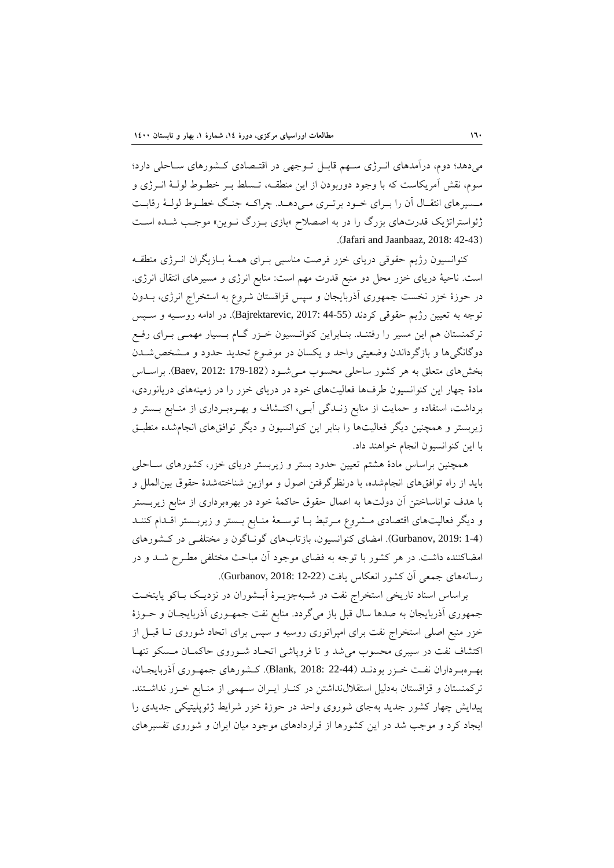ميدهد؛ دوم، درآمدهاي انـرژي سـهم قابـل تـوجهي در اقتـصادي كـشورهاي سـاحلي دارد؛ سوم، نقش آمريكاست كه با وجود دوربودن از اين منطقـه، تـسلط بـر خطـوط لولـة انـرژي و مـسيرهاي انتقـال آن را بـراي خـود برتـري مـيدهـد. چراكـه جنـگ خطـوط لولـة رقابـت ژئواستراتژيك قدرتهاي بزرگ را در به اصصلاح «بازي بـزرگ نـوين» موجـب شـده اسـت .(Jafari and Jaanbaaz, 2018: 42-43)

كنوانسيون رژيم حقوقي درياي خزر فرصت مناسبي بـراي همـة بـازيگران انـرژي منطقـه است. ناحية درياي خزر محل دو منبع قدرت مهم است: منابع انرژي و مسيرهاي انتقال انرژي. در حوزة خزر نخست جمهوري آذربايجان و سپس قزاقستان شروع به استخراج انرژي، بـدون توجه به تعيين رژيم حقوقي كردند (44-55 2017: ,Bajrektarevic(. در ادامه روسـيه و سـپس تركمنستان هم اين مسير را رفتنـد. بنـابراين كنوانـسيون خـزر گـام بـسيار مهمـي بـراي رفـع دوگانگيها و بازگرداندن وضعيتي واحد و يكسان در موضوع تحديد حدود و مـشخصشـدن بخشهاي متعلق به هر كشور ساحلي محسوب مـيشـود (179-182 2012: ,Baev(. براسـاس مادة چهار اين كنوانسيون طرفها فعاليتهاي خود در درياي خزر را در زمينههاي دريانوردي، برداشت، استفاده و حمايت از منابع زنـدگي آبـي، اكتـشاف و بهـرهبـرداري از منـابع بـستر و زيربستر و همچنين ديگر فعاليتها را بنابر اين كنوانسيون و ديگر توافقهاي انجامشده منطبـق با اين كنوانسيون انجام خواهند داد.

همچنين براساس مادة هشتم تعيين حدود بستر و زيربستر درياي خزر، كشورهاي سـاحلي بايد از راه توافقهاي انجامشده، با درنظرگرفتن اصول و موازين شناختهشدة حقوق بينالملل و با هدف تواناساختن آن دولتها به اعمال حقوق حاكمة خود در بهرهبرداري از منابع زيربـستر و ديگر فعاليتهاي اقتصادي مـشروع مـرتبط بـا توسـعة منـابع بـستر و زيربـستر اقـدام كننـد (1-4 2019: ,Gurbanov(. امضاي كنوانسيون، بازتابهاي گونـاگون و مختلفـي در كـشورهاي امضاكننده داشت. در هر كشور با توجه به فضاي موجود آن مباحث مختلفي مطـرح شـد و در رسانههاي جمعي آن كشور انعكاس يافت (12-22 2018: ,Gurbanov(.

براساس اسناد تاريخي استخراج نفت در شـبهجزيـرة آبـشوران در نزديـك بـاكو پايتخـت جمهوري آذربايجان به صدها سال قبل باز ميگردد. منابع نفت جمهـوري آذربايجـان و حـوزة خزر منبع اصلي استخراج نفت براي امپراتوري روسيه و سپس براي اتحاد شوروي تـا قبـل از اكتشاف نفت در سيبري محسوب ميشد و تا فروپاشي اتحـاد شـوروي حاكمـان مـسكو تنهـا بهـرهبـرداران نفـت خـزر بودنـد (22-44 2018: ,Blank(. كـشورهاي جمهـوري آذربايجـان، تركمنستان و قزاقستان بهدليل استقلالنداشتن در كنـار ايـران سـهمي از منـابع خـزر نداشـتند. پيدايش چهار كشور جديد بهجاي شوروي واحد در حوزة خزر شرايط ژئوپليتيكي جديدي را ايجاد كرد و موجب شد در اين كشورها از قراردادهاي موجود ميان ايران و شوروي تفسيرهاي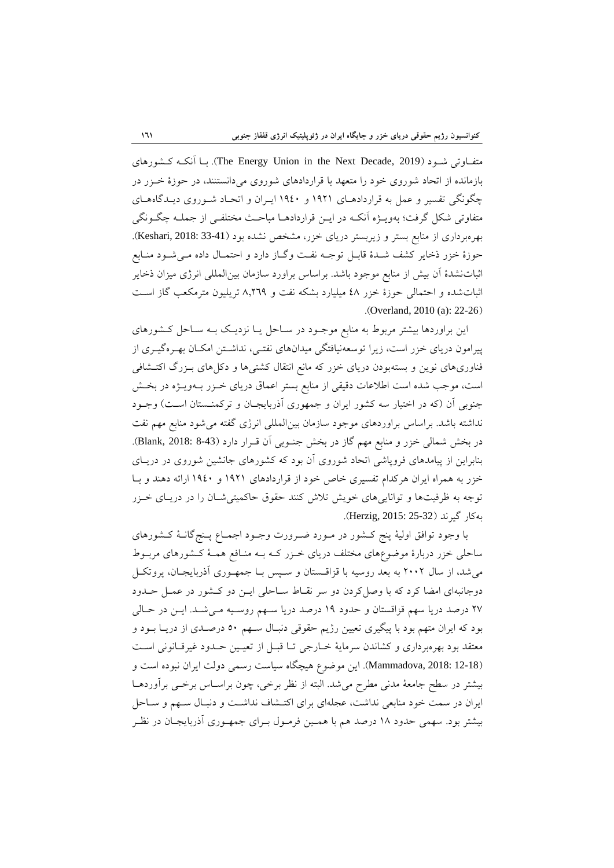كـشورهاي آنكـه بـا .)The Energy Union in the Next Decade, 2019) شـود متفـاوتي بازمانده از اتحاد شوروي خود را متعهد با قراردادهاي شوروي ميدانستنند، در حوزة خـزر در چگونگي تفسير و عمل به قراردادهـاي 1921 و 1940 ايـران و اتحـاد شـوروي ديـدگاههـاي متفاوتي شكل گرفت؛ بهويـژه آنكـه در ايـن قراردادهـا مباحـث مختلفـي از جملـه چگـونگي بهرهبرداري از منابع بستر و زيربستر درياي خزر، مشخص نشده بود (Keshari, 2018: 33-41). حوزة خزر ذخاير كشف شـدة قابـل توجـه نفـت وگـاز دارد و احتمـال داده مـيشـود منـابع اثباتنشدة آن بيش از منابع موجود باشد. براساس براورد سازمان بينالمللي انرژي ميزان ذخاير اثباتشده و احتمالي حوزة خزر 48 ميليارد بشكه نفت و 8,269 تريليون مترمكعب گاز اسـت .(Overland, 2010 (a): 22-26)

اين براوردها بيشتر مربوط به منابع موجـود در سـاحل يـا نزديـك بـه سـاحل كـشورهاي پيرامون درياي خزر است، زيرا توسعهنيافتگي ميدانهاي نفتـي، نداشـتن امكـان بهـرهگيـري از فناوريهاي نوين و بستهبودن درياي خزر كه مانع انتقال كشتيها و دكلهاي بـزرگ اكتـشافي است، موجب شده است اطلاعات دقيقي از منابع بستر اعماق درياي خـزر بـهويـژه در بخـش جنوبي آن (كه در اختيار سه كشور ايران و جمهوري آذربايجـان و تركمنـستان اسـت) وجـود نداشته باشد. براساس براوردهاي موجود سازمان بينالمللي انرژي گفته ميشود منابع مهم نفت در بخش شمالي خزر و منابع مهم گاز در بخش جنـوبي آن قـرار دارد (8-43 2018: ,Blank(. بنابراين از پيامدهاي فروپاشي اتحاد شوروي آن بود كه كشورهاي جانشين شوروي در دريـاي خزر به همراه ايران هركدام تفسيري خاص خود از قراردادهاي 1921 و 1940 ارائه دهند و بـا توجه به ظرفيتها و تواناييهاي خويش تلاش كنند حقوق حاكميتيشـان را در دريـاي خـزر بهكار گيرند (Herzig, 2015: 25-32).

با وجود توافق اولية پنج كـشور در مـورد ضـرورت وجـود اجمـاع پـنجگانـة كـشورهاي ساحلي خزر دربارة موضوعهاي مختلف درياي خـزر كـه بـه منـافع همـة كـشورهاي مربـوط ميشد، از سال 2002 به بعد روسيه با قزاقـستان و سـپس بـا جمهـوري آذربايجـان، پروتكـل دوجانبهاي امضا كرد كه با وصلكردن دو سر نقـاط سـاحلي ايـن دو كـشور در عمـل حـدود 27 درصد دريا سهم قزاقستان و حدود 19 درصد دريا سـهم روسـيه مـيشـد. ايـن در حـالي بود كه ايران متهم بود با پيگيري تعيين رژيم حقوقي دنبـال سـهم 50 درصـدي از دريـا بـود و معتقد بود بهرهبرداري و كشاندن سرماية خـارجي تـا قبـل از تعيـين حـدود غيرقـانوني اسـت (12-18 2018: ,Mammadova(. اين موضوع هيچگاه سياست رسمي دولت ايران نبوده است و بيشتر در سطح جامعة مدني مطرح ميشد. البته از نظر برخي، چون براسـاس برخـي برآوردهـا ايران در سمت خود منابعي نداشت، عجلهاي براي اكتـشاف نداشـت و دنبـال سـهم و سـاحل بيشتر بود. سهمي حدود 18 درصد هم با همـين فرمـول بـراي جمهـوري آذربايجـان در نظـر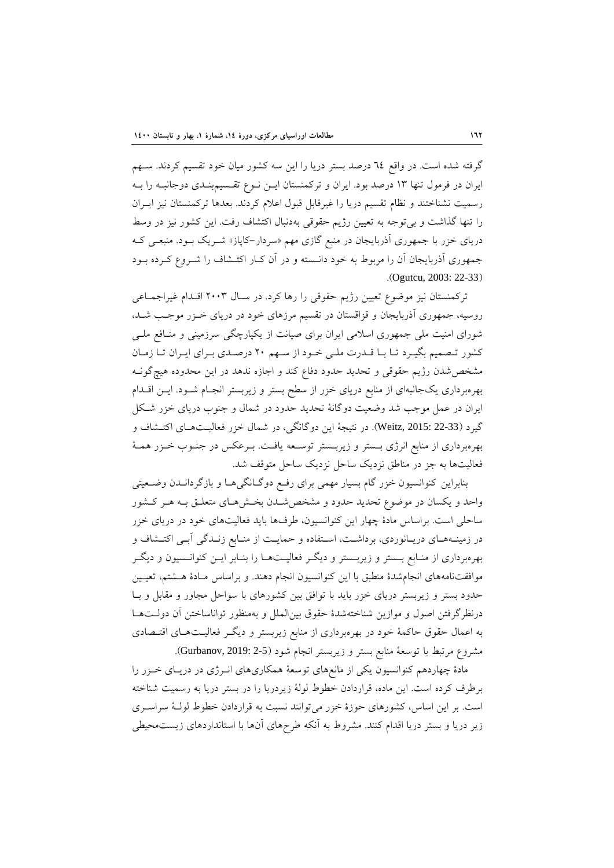گرفته شده است. در واقع 64 درصد بستر دريا را اين سه كشور ميان خود تقسيم كردند. سـهم ايران در فرمول تنها 13 درصد بود. ايران و تركمنستان ايـن نـوع تقـسيمبنـدي دوجانبـه را بـه رسميت نشناختند و نظام تقسيم دريا را غيرقابل قبول اعلام كردند. بعدها تركمنستان نيز ايـران را تنها گذاشت و بيتوجه به تعيين رژيم حقوقي بهدنبال اكتشاف رفت. اين كشور نيز در وسط درياي خزر با جمهوري آذربايجان در منبع گازي مهم «سردار-كاپاز» شـريك بـود. منبعـي كـه جمهوري آذربايجان آن را مربوط به خود دانـسته و در آن كـار اكتـشاف را شـروع كـرده بـود .(Ogutcu, 2003: 22-33)

تركمنستان نيز موضوع تعيين رژيم حقوقي را رها كرد. در سـال 2003 اقـدام غيراجمـاعي روسيه، جمهوري آذربايجان و قزاقستان در تقسيم مرزهاي خود در درياي خـزر موجـب شـد، شوراي امنيت ملي جمهوري اسلامي ايران براي صيانت از يكپارچگي سرزميني و منـافع ملـي كشور تـصميم بگيـرد تـا بـا قـدرت ملـي خـود از سـهم 20 درصـدي بـراي ايـران تـا زمـان مشخصشدن رژيم حقوقي و تحديد حدود دفاع كند و اجازه ندهد در اين محدوده هيچگونـه بهرهبرداري يكجانبهاي از منابع درياي خزر از سطح بستر و زيربستر انجـام شـود. ايـن اقـدام ايران در عمل موجب شد وضعيت دوگانة تحديد حدود در شمال و جنوب درياي خزر شـكل گيرد (22-33 2015: ,Weitz(. در نتيجة اين دوگانگي، در شمال خزر فعاليـتهـاي اكتـشاف و بهرهبرداري از منابع انرژي بـستر و زيربـستر توسـعه يافـت. بـرعكس در جنـوب خـزر همـة فعاليتها به جز در مناطق نزديك ساحل نزديك ساحل متوقف شد.

بنابراين كنوانسيون خزر گام بسيار مهمي براي رفـع دوگـانگيهـا و بازگردانـدن وضـعيتي واحد و يكسان در موضوع تحديد حدود و مشخصشـدن بخـشهـاي متعلـق بـه هـر كـشور ساحلي است. براساس مادة چهار اين كنوانسيون، طرفها بايد فعاليتهاي خود در درياي خزر در زمينـههـاي دريـانوردي، برداشـت، اسـتفاده و حمايـت از منـابع زنـدگي آبـي اكتـشاف و بهرهبرداري از منـابع بـستر و زيربـستر و ديگـر فعاليـتهـا را بنـابر ايـن كنوانـسيون و ديگـر موافقتنامههاي انجامشدة منطبق با اين كنوانسيون انجام دهند. و براساس مـادة هـشتم، تعيـين حدود بستر و زيربستر درياي خزر بايد با توافق بين كشورهاي با سواحل مجاور و مقابل و بـا درنظرگرفتن اصول و موازين شناختهشدة حقوق بينالملل و بهمنظور تواناساختن آن دولـتهـا به اعمال حقوق حاكمة خود در بهرهبرداري از منابع زيربستر و ديگـر فعاليـتهـاي اقتـصادي مشروع مرتبط با توسعة منابع بستر و زيربستر انجام شود (2-5 2019: ,Gurbanov(.

مادة چهاردهم كنوانسيون يكي از مانعهاي توسعة همكاريهاي انـرژي در دريـاي خـزر را برطرف كرده است. اين ماده، قراردادن خطوط لولة زيردريا را در بستر دريا به رسميت شناخته است. بر اين اساس، كشورهاي حوزة خزر ميتوانند نسبت به قراردادن خطوط لولـة سراسـري زير دريا و بستر دريا اقدام كنند. مشروط به آنكه طرحهاي آنها با استانداردهاي زيستمحيطي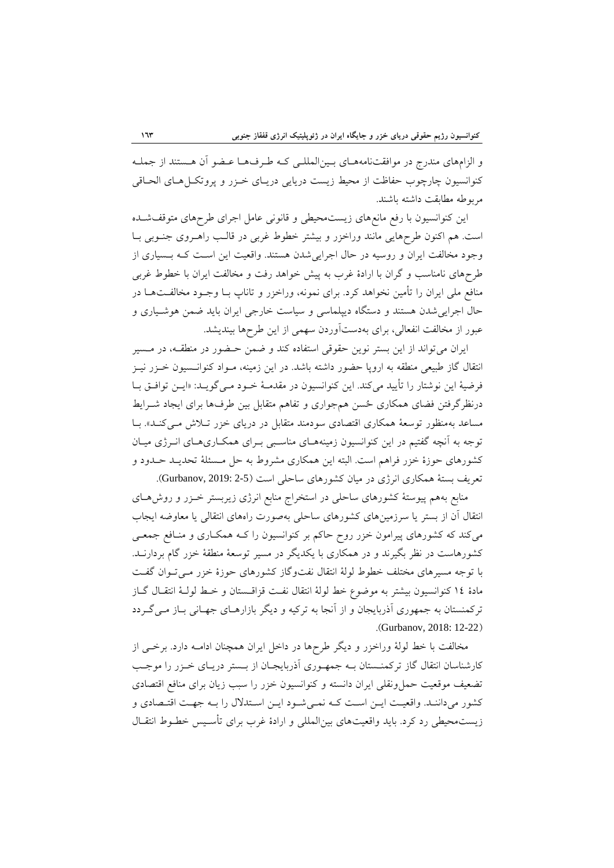و الزامهاي مندرج در موافقتنامههـاي بـينالمللـي كـه طـرفهـا عـضو آن هـستند از جملـه كنوانسيون چارچوب حفاظت از محيط زيست دريايي دريـاي خـزر و پروتكـل هـاي الحـاقي مربوطه مطابقت داشته باشند.

اين كنوانسيون با رفع مانعهاي زيستمحيطي و قانوني عامل اجراي طرحهاي متوقفشـده است. هم اكنون طرحهايي مانند وراخزر و بيشتر خطوط غربي در قالـب راهـروي جنـوبي بـا وجود مخالفت ايران و روسيه در حال اجراييشدن هستند. واقعيت اين اسـت كـه بـسياري از طرحهاي نامناسب و گران با ارادة غرب به پيش خواهد رفت و مخالفت ايران با خطوط غربي منافع ملي ايران را تأمين نخواهد كرد. براي نمونه، وراخزر و تاناپ بـا وجـود مخالفـتهـا در حال اجراييشدن هستند و دستگاه ديپلماسي و سياست خارجي ايران بايد ضمن هوشـياري و عبور از مخالفت انفعالي، براي بهدستآوردن سهمي از اين طرحها بينديشد.

ايران ميتواند از اين بستر نوين حقوقي استفاده كند و ضمن حـضور در منطقـه، در مـسير انتقال گاز طبيعي منطقه به اروپا حضور داشته باشد. در اين زمينه، مـواد كنوانـسيون خـزر نيـز فرضية اين نوشتار را تأييد ميكند. اين كنوانسيون در مقدمـة خـود مـيگويـد: «ايـن توافـق بـا درنظرگرفتن فضاي همكاري حسن همجواري و تفاهم متقابل بين طرفها براي ايجاد شـرايط مساعد بهمنظور توسعة همكاري اقتصادي سودمند متقابل در درياي خزر تـلاش مـيكنـد». بـا توجه به آنچه گفتيم در اين كنوانسيون زمينههـاي مناسـبي بـراي همكـاريهـاي انـرژي ميـان كشورهاي حوزة خزر فراهم است. البته اين همكاري مشروط به حل مـسئلة تحديـد حـدود و تعريف بستة همكاري انرژي در ميان كشورهاي ساحلي است (2-5 :Gurbanov, 2019).

منابع بههم پيوستة كشورهاي ساحلي در استخراج منابع انرژي زيربستر خـزر و روشهـاي انتقال آن از بستر يا سرزمينهاي كشورهاي ساحلي بهصورت راههاي انتقالي يا معاوضه ايجاب ميكند كه كشورهاي پيرامون خزر روح حاكم بر كنوانسيون را كـه همكـاري و منـافع جمعـي كشورهاست در نظر بگيرند و در همكاري با يكديگر در مسير توسعة منطقة خزر گام بردارنـد. با توجه مسيرهاي مختلف خطوط لولة انتقال نفتوگاز كشورهاي حوزة خزر مـيتـوان گفـت مادة 14 كنوانسيون بيشتر به موضوع خط لولة انتقال نفـت قزاقـستان و خـط لولـة انتقـال گـاز تركمنستان به جمهوري آذربايجان و از آنجا به تركيه و ديگر بازارهـاي جهـاني بـاز مـيگـردد .(Gurbanov, 2018: 12-22)

مخالفت با خط لولة وراخزر و ديگر طرحها در داخل ايران همچنان ادامـه دارد. برخـي از كارشناسان انتقال گاز تركمنـستان بـه جمهـوري آذربايجـان از بـستر دريـاي خـزر را موجـب تضعيف موقعيت حملونقلي ايران دانسته و كنوانسيون خزر را سبب زيان براي منافع اقتصادي كشور ميداننـد. واقعيـت ايـن اسـت كـه نمـيشـود ايـن اسـتدلال را بـه جهـت اقتـصادي و زيستمحيطي رد كرد. بايد واقعيتهاي بينالمللي و ارادة غرب براي تأسـيس خطـوط انتقـال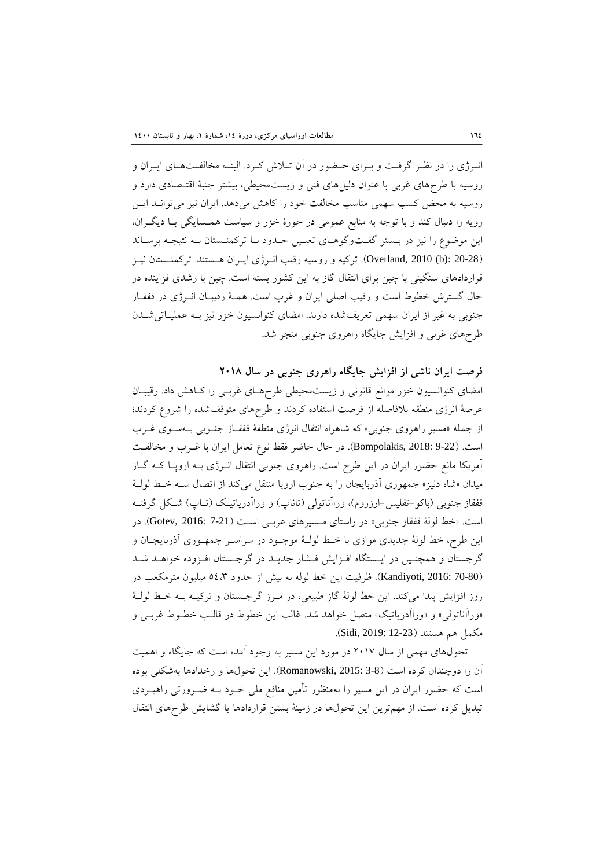انـرژي را در نظـر گرفـت و بـراي حـضور در آن تـلاش كـرد. البتـه مخالفـتهـاي ايـران و روسيه با طرحهاي غربي با عنوان دليلهاي فني و زيستمحيطي، بيشتر جنبة اقتـصادي دارد و روسيه به محض كسب سهمي مناسب مخالفت خود را كاهش ميدهد. ايران نيز ميتوانـد ايـن رويه را دنبال كند و با توجه به منابع عمومي در حوزة خزر و سياست همـسايگي بـا ديگـران، اين موضوع را نيز در بـستر گفـتوگوهـاي تعيـين حـدود بـا تركمنـستان بـه نتيجـه برسـاند (20-28 :(b (2010 ,Overland(. تركيه و روسيه رقيب انـرژي ايـران هـستند. تركمنـستان نيـز قراردادهاي سنگيني با چين براي انتقال گاز به اين كشور بسته است. چين با رشدي فزاينده در حال گسترش خطوط است و رقيب اصلي ايران و غرب است. همـة رقيبـان انـرژي در قفقـاز جنوبي به غير از ايران سهمي تعريفشده دارند. امضاي كنوانسيون خزر نيز بـه عمليـاتيشـدن طرحهاي غربي و افزايش جايگاه راهروي جنوبي منجر شد.

**فرصت ايران ناشي از افزايش جايگاه راهروي جنوبي در سال 2018**  امضاي كنوانسيون خزر موانع قانوني و زيستمحيطي طرحهـاي غربـي را كـاهش داد. رقيبـان عرصة انرژي منطقه بلافاصله از فرصت استفاده كردند و طرحهاي متوقفشده را شروع كردند؛ از جمله «مسير راهروي جنوبي» كه شاهراه انتقال انرژي منطقة قفقـاز جنـوبي بـهسـوي غـرب است. (9-22 2018: ,Bompolakis(. در حال حاضر فقط نوع تعامل ايران با غـرب و مخالفـت آمريكا مانع حضور ايران در اين طرح است. راهروي جنوبي انتقال انـرژي بـه اروپـا كـه گـاز ميدان «شاه دنيز» جمهوري آذربايجان را به جنوب اروپا منتقل ميكند از اتصال سـه خـط لولـة قفقاز جنوبي (باكو-تفليس-ارزروم)، وراآناتولي (تاناپ) و وراآدرياتيـك (تـاپ) شـكل گرفتـه است. «خط لولة قفقاز جنوبي» در راستاي مـسيرهاي غربـي اسـت (7-21 Gotev, 2016: 7). در اين طرح، خط لولة جديدي موازي با خـط لولـة موجـود در سراسـر جمهـوري آذربايجـان و گرجستان و همچنـين در ايـستگاه افـزايش فـشار جديـد در گرجـستان افـزوده خواهـد شـد (70-80 2016: ,Kandiyoti(. ظرفيت اين خط لوله به بيش از حدود 54،3 ميليون مترمكعب در روز افزايش پيدا ميكند. اين خط لولة گاز طبيعي، در مـرز گرجـستان و تركيـه بـه خـط لولـة «وراآناتولي» و «وراآدرياتيك» متصل خواهد شد. غالب اين خطوط در قالـب خطـوط غربـي و مكمل هم هستند (12-23 Sidi, 2019: 12).

تحولهاي مهمي از سال 2017 در مورد اين مسير به وجود آمده است كه جايگاه و اهميت آن را دوچندان كرده است (3-8 2015: ,Romanowski(. اين تحولها و رخدادها بهشكلي بوده است كه حضور ايران در اين مسير را بهمنظور تأمين منافع ملي خـود بـه ضـرورتي راهبـردي تبديل كرده است. از مهمترين اين تحولها در زمينة بستن قراردادها يا گشايش طرحهاي انتقال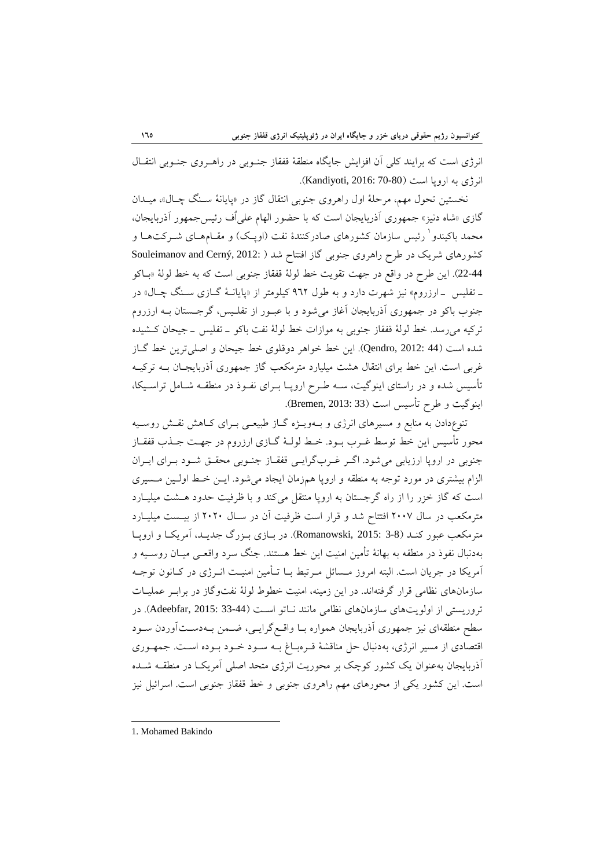انرژي است كه برايند كلي آن افزايش جايگاه منطقة قفقاز جنـوبي در راهـروي جنـوبي انتقـال انرژي به اروپا است (Kandiyoti, 2016: 70-80).

نخستين تحول مهم، مرحلة اول راهروي جنوبي انتقال گاز در «پايانة سـنگ چـال»، ميـدان گازي «شاه دنيز» جمهوري آذربايجان است كه با حضور الهام علياُف رئيسجمهور آذربايجان، محمد باكيندو<sup>\</sup> رئيس سازمان كشورهاي صادركنندهٔ نفت (اوپـك) و مقـامهـاي شــركتهـا و كشورهاي شريك در طرح راهروي جنوبي گاز افتتاح شد ( Souleimanov and Cerný, 2012: ) 22-44). اين طرح در واقع در جهت تقويت خط لولة قفقاز جنوبي است كه به خط لولة «بـاكو ـ تفليس ـ ارزروم» نيز شهرت دارد و به طول 962 كيلومتر از «پايانـة گـازي سـنگ چـال» در جنوب باكو در جمهوري آذربايجان آغاز ميشود و با عبـور از تفلـيس، گرجـستان بـه ارزروم تركيه ميرسد. خط لولة قفقاز جنوبي به موازات خط لولة نفت باكو ـ تفليس ـ جيحان كـشيده شده است (44 2012: ,Qendro(. اين خط خواهر دوقلوي خط جيحان و اصليترين خط گـاز غربي است. اين خط براي انتقال هشت ميليارد مترمكعب گاز جمهوري آذربايجـان بـه تركيـه تأسيس شده و در راستاي اينوگيت، سـه طـرح اروپـا بـراي نفـوذ در منطقـه شـامل تراسـيكا، اينوگيت و طرح تأسيس است (33 2013: ,Bremen(.

تنوعدادن به منابع و مسيرهاي انرژي و بـهويـژه گـاز طبيعـي بـراي كـاهش نقـش روسـيه محور تأسيس اين خط توسط غـرب بـود. خـط لولـة گـازي ارزروم در جهـت جـذب قفقـاز جنوبي در اروپا ارزيابي ميشود. اگـر غـربگرايـي قفقـاز جنـوبي محقـق شـود بـراي ايـران الزام بيشتري در مورد توجه به منطقه و اروپا همزمان ايجاد ميشود. ايـن خـط اولـين مـسيري است كه گاز خزر را از راه گرجستان به اروپا منتقل ميكند و با ظرفيت حدود هـشت ميليـارد مترمكعب در سال 2007 افتتاح شد و قرار است ظرفيت آن در سـال 2020 از بيـست ميليـارد مترمكعب عبور كنـد (3-8 2015: ,Romanowski(. در بـازي بـزرگ جديـد، آمريكـا و اروپـا بهدنبال نفوذ در منطقه به بهانة تأمين امنيت اين خط هستند. جنگ سرد واقعـي ميـان روسـيه و آمريكا در جريان است. البته امروز مـسائل مـرتبط بـا تـأمين امنيـت انـرژي در كـانون توجـه سازمانهاي نظامي قرار گرفتهاند. در اين زمينه، امنيت خطوط لولة نفتوگاز در برابـر عمليـات تروريستي از اولويتهاي سازمانهاي نظامي مانند نـاتو اسـت (33-44 Adeebfar, 2015: 33). در سطح منطقهاي نيز جمهوري آذربايجان همواره بـا واقـعگرايـي، ضـمن بـهدسـتآوردن سـود اقتصادي از مسير انرژي، بهدنبال حل مناقشة قـرهبـاغ بـه سـود خـود بـوده اسـت. جمهـوري آذربايجان بهعنوان يك كشور كوچك بر محوريت انرژي متحد اصلي آمريكـا در منطقـه شـده است. اين كشور يكي از محورهاي مهم راهروي جنوبي و خط قفقاز جنوبي است. اسرائيل نيز

1. Mohamed Bakindo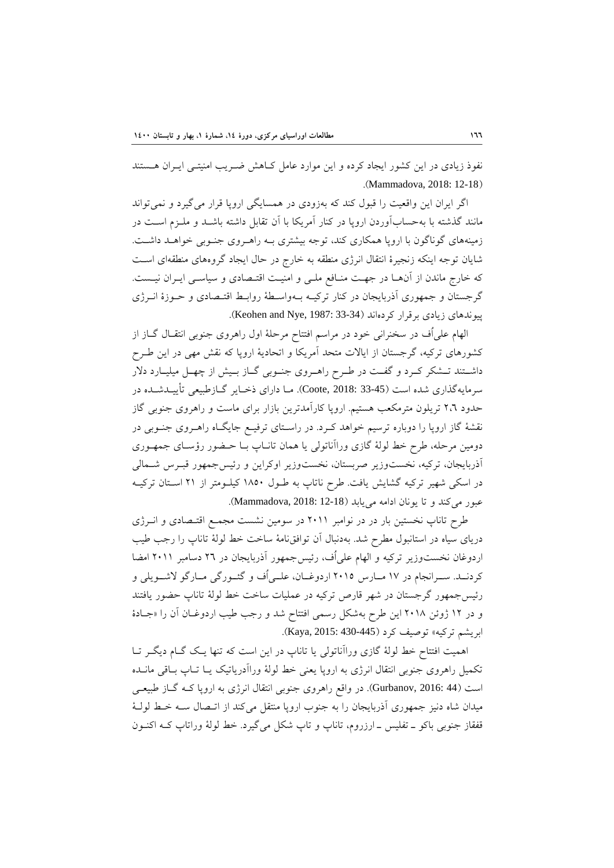نفوذ زيادي در اين كشور ايجاد كرده و اين موارد عامل كـاهش ضـريب امنيتـي ايـران هـستند .(Mammadova, 2018: 12-18)

اگر ايران اين واقعيت را قبول كند كه بهزودي در همسايگي اروپا قرار ميگيرد و نميتواند مانند گذشته با بهحسابآوردن اروپا در كنار آمريكا با آن تقابل داشته باشـد و ملـزم اسـت در زمينههاي گوناگون با اروپا همكاري كند، توجه بيشتري بـه راهـروي جنـوبي خواهـد داشـت. شايان توجه اينكه زنجيرة انتقال انرژي منطقه به خارج در حال ايجاد گروههاي منطقهاي اسـت كه خارج ماندن از آنهـا در جهـت منـافع ملـي و امنيـت اقتـصادي و سياسـي ايـران نيـست. گرجستان و جمهوري آذربايجان در كنار تركيـه بـهواسـطة روابـط اقتـصادي و حـوزة انـرژي پيوندهاي زيادي برقرار كردهاند (33-33 :Keohen and Nye, 1987).

الهام علياُف در سخنراني خود در مراسم افتتاح مرحلة اول راهروي جنوبي انتقـال گـاز از كشورهاي تركيه، گرجستان از ايالات متحد آمريكا و اتحادية اروپا كه نقش مهي در اين طـرح داشـتند تــشكر كـرد و گفــت در طـرح راهــروي جنـوبي گــاز بـيش از چهــل ميليــارد دلار سرمايهگذاري شده است (33-45 2018: ,Coote(. مـا داراي ذخـاير گـازطبيعي تأييـدشـده در حدود 2،6 تريلون مترمكعب هستيم. اروپا كارآمدترين بازار براي ماست و راهروي جنوبي گاز نقشة گاز اروپا را دوباره ترسيم خواهد كـرد. در راسـتاي ترفيـع جايگـاه راهـروي جنـوبي در دومين مرحله، طرح خط لولة گازي وراآناتولي يا همان تانـاپ بـا حـضور رؤسـاي جمهـوري آذربايجان، تركيه، نخستوزير صربستان، نخستوزير اوكراين و رئيسجمهور قبـرس شـمالي در اسكي شهير تركيه گشايش يافت. طرح ناتاپ به طـول 1850 كيلـومتر از 21 اسـتان تركيـه عبور مي كند و تا يونان ادامه مي يابد (18-12 Mammadova, 2018: 12).

طرح تاناپ نخستين بار در در نوامبر 2011 در سومين نشست مجمـع اقتـصادي و انـرژي درياي سياه در استانبول مطرح شد. بهدنبال آن توافقنامة ساخت خط لولة تاناپ را رجب طيب اردوغان نخست<code>وزیر</code> تركيه و الهام علي اُف، رئيسجمهور آذربايجان در ٢٦ دسامبر ٢٠١١ امضا كردنــد. ســرانجام در 17 مــارس 2015 اردوغــان، علــياُف و گئــورگي مــارگو لاشــويلي و رئيسجمهور گرجستان در شهر قارص تركيه در عمليات ساخت خط لولة تاناپ حضور يافتند و در 12 ژوئن 2018 اين طرح بهشكل رسمي افتتاح شد و رجب طيب اردوغـان آن را «جـادة ابريشم تركيه» توصيف كرد (430-445 2015: ,Kaya(.

اهميت افتتاح خط لولة گازي وراآناتولي يا تاناپ در اين است كه تنها يـك گـام ديگـر تـا تكميل راهروي جنوبي انتقال انرژي به اروپا يعني خط لولة وراآدرياتيك يـا تـاپ بـاقي مانـده است (44 2016: ,Gurbanov(. در واقع راهروي جنوبي انتقال انرژي به اروپا كـه گـاز طبيعـي ميدان شاه دنيز جمهوري آذربايجان را به جنوب اروپا منتقل ميكند از اتـصال سـه خـط لولـة قفقاز جنوبي باكو ـ تفليس ـ ارزروم، تاناپ و تاپ شكل ميگيرد. خط لولة وراتاپ كـه اكنـون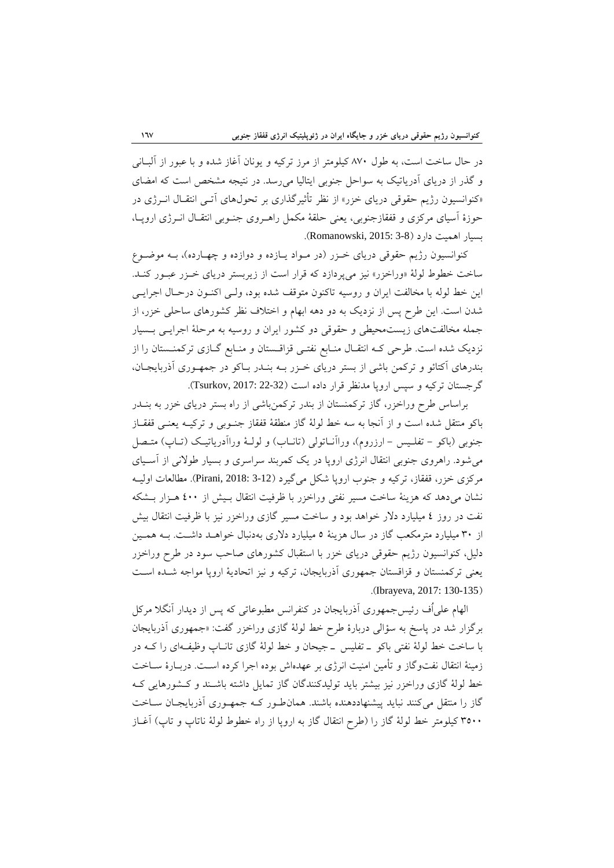در حال ساخت است، به طول 870 كيلومتر از مرز تركيه و يونان آغاز شده و با عبور از آلبـاني و گذر از درياي آدرياتيك به سواحل جنوبي ايتاليا ميرسد. در نتيجه مشخص است كه امضاي «كنوانسيون رژيم حقوقي درياي خزر» از نظر تأثيرگذاري بر تحولهاي آتـي انتقـال انـرژي در حوزة آسياي مركزي و قفقازجنوبي، يعني حلقة مكمل راهـروي جنـوبي انتقـال انـرژي اروپـا، بسيار اهميت دارد (3-8 2015: ,Romanowski(.

كنوانسيون رژيم حقوقي درياي خـزر (در مـواد يـازده و دوازده و چهـارده)، بـه موضـوع ساخت خطوط لولة «وراخزر» نيز ميپردازد كه قرار است از زيربستر درياي خـزر عبـور كنـد. اين خط لوله با مخالفت ايران و روسيه تاكنون متوقف شده بود، ولـي اكنـون درحـال اجرايـي شدن است. اين طرح پس از نزديك به دو دهه ابهام و اختلاف نظر كشورهاي ساحلي خزر، از جمله مخالفتهاي زيستمحيطي و حقوقي دو كشور ايران و روسيه به مرحلة اجرايـي بـسيار نزديك شده است. طرحي كـه انتقـال منـابع نفتـي قزاقـستان و منـابع گـازي تركمنـستان را از بندرهاي آكتائو و تركمن باشي از بستر درياي خـزر بـه بنـدر بـاكو در جمهـوري آذربايجـان، گرجستان تركيه و سپس اروپا مدنظر قرار داده است (22-32 :Tsurkov, 2017).

براساس طرح وراخزر، گاز تركمنستان از بندر تركمنباشي از راه بستر درياي خزر به بنـدر باكو منتقل شده است و از آنجا به سه خط لولة گاز منطقة قفقاز جنـوبي و تركيـه يعنـي قفقـاز جنوبي (باكو - تفلـيس - ارزروم)، وراآنـاتولي (تانـاب) و لولـة وراآدرياتيـك (تـاپ) متـصل ميشود. راهروي جنوبي انتقال انرژي اروپا در يك كمربند سراسري و بسيار طولاني از آسـياي مركزي خزر، قفقاز، تركيه و جنوب اروپا شكل ميگيرد (3-12 2018: ,Pirani(. مطالعات اوليـه نشان ميدهد كه هزينة ساخت مسير نفتي وراخزر با ظرفيت انتقال بـيش از 400 هـزار بـشكه نفت در روز 4 ميليارد دلار خواهد بود و ساخت مسير گازي وراخزر نيز با ظرفيت انتقال بيش از 30 ميليارد مترمكعب گاز در سال هزينة 5 ميليارد دلاري بهدنبال خواهـد داشـت. بـه همـين دليل، كنوانسيون رژيم حقوقي درياي خزر با استقبال كشورهاي صاحب سود در طرح وراخزر يعني تركمنستان و قزاقستان جمهوري آذربايجان، تركيه و نيز اتحادية اروپا مواجه شـده اسـت .(Ibrayeva, 2017: 130-135)

الهام علياُف رئيسجمهوري آذربايجان در كنفرانس مطبوعاتي كه پس از ديدار آنگلا مركل برگزار شد در پاسخ به سؤالي دربارة طرح خط لولة گازي وراخزر گفت: «جمهوري آذربايجان با ساخت خط لولة نفتي باكو ـ تفليس ـ جيحان و خط لولة گازي تانـاپ وظيفـهاي را كـه در زمينة انتقال نفتوگاز و تأمين امنيت انرژي بر عهدهاش بوده اجرا كرده اسـت. دربـارة سـاخت خط لولة گازي وراخزر نيز بيشتر بايد توليدكنندگان گاز تمايل داشته باشـند و كـشورهايي كـه گاز را منتقل ميكنند نبايد پيشنهاددهنده باشند. همانطـور كـه جمهـوري آذربايجـان سـاخت 3500 كيلومتر خط لولة گاز را (طرح انتقال گاز به اروپا از راه خطوط لولة ناتاپ و تاپ) آغـاز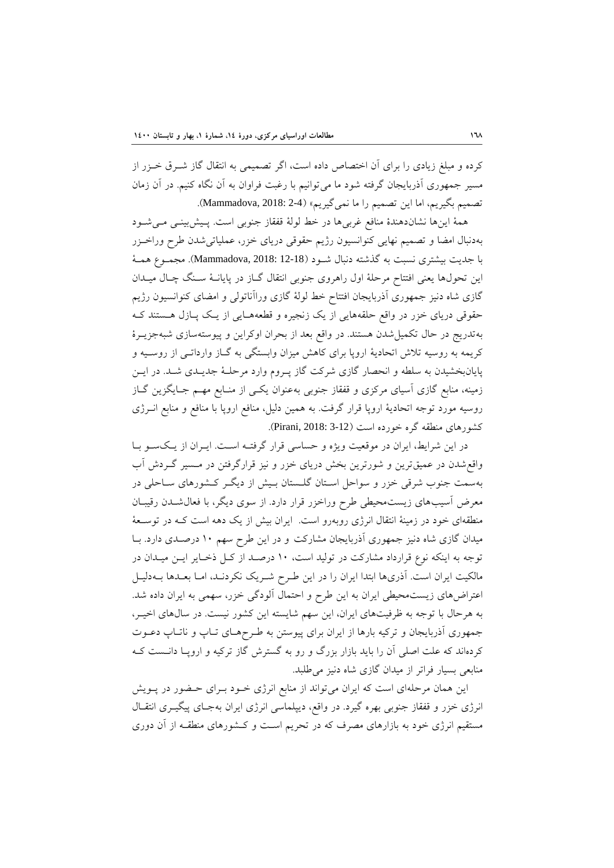كرده و مبلغ زيادي را براي آن اختصاص داده است، اگر تصميمي به انتقال گاز شـرق خـزر از مسير جمهوري آذربايجان گرفته شود ما ميتوانيم با رغبت فراوان به آن نگاه كنيم. در آن زمان تصميم بگيريم، اما اين تصميم را ما نمي گيريم» (2-2 :Mammadova, 2018).

همة اينها نشاندهندة منافع غربيها در خط لولة قفقاز جنوبي است. پـيشبينـي مـيشـود بهدنبال امضا و تصميم نهايي كنوانسيون رژيم حقوقي درياي خزر، عملياتيشدن طرح وراخـزر با جديت بيشتري نسبت به گذشته دنبال شـود (12-18 2018: ,Mammadova(. مجمـوع همـة اين تحولها يعني افتتاح مرحلة اول راهروي جنوبي انتقال گـاز در پايانـة سـنگ چـال ميـدان گازي شاه دنيز جمهوري آذربايجان افتتاح خط لولة گازي وراآناتولي و امضاي كنوانسيون رژيم حقوقي درياي خزر در واقع حلقههايي از يك زنجيره و قطعههـايي از يـك پـازل هـستند كـه بهتدريج در حال تكميلشدن هستند. در واقع بعد از بحران اوكراين و پيوستهسازي شبهجزيـرة كريمه به روسيه تلاش اتحادية اروپا براي كاهش ميزان وابستگي به گـاز وارداتـي از روسـيه و پايانبخشيدن به سلطه و انحصار گازي شركت گاز پـروم وارد مرحلـة جديـدي شـد. در ايـن زمينه، منابع گازي آسياي مركزي و قفقاز جنوبي بهعنوان يكـي از منـابع مهـم جـايگزين گـاز روسيه مورد توجه اتحادية اروپا قرار گرفت. به همين دليل، منافع اروپا با منافع و منابع انـرژي كشورهاي منطقه گره خورده است (3-12 2018: ,Pirani(.

در اين شرايط، ايران در موقعيت ويژه و حساسي قرار گرفتـه اسـت. ايـران از يـكسـو بـا واقعشدن در عميقترين و شورترين بخش درياي خزر و نيز قرارگرفتن در مـسير گـردش آب بهسمت جنوب شرقي خزر و سواحل اسـتان گلـستان بـيش از ديگـر كـشورهاي سـاحلي در معرض آسيبهاي زيستمحيطي طرح وراخزر قرار دارد. از سوي ديگر، با فعالشـدن رقيبـان منطقهاي خود در زمينة انتقال انرژي روبهرو است. ايران بيش از يك دهه است كـه در توسـعة ميدان گازي شاه دنيز جمهوري آذربايجان مشاركت و در اين طرح سهم 10 درصـدي دارد. بـا توجه به اينكه نوع قرارداد مشاركت در توليد است، 10 درصـد از كـل ذخـاير ايـن ميـدان در مالكيت ايران است. آذريها ابتدا ايران را در اين طـرح شـريك نكردنـد، امـا بعـدها بـهدليـل اعتراضهاي زيستمحيطي ايران به اين طرح و احتمال آلودگي خزر، سهمي به ايران داده شد. به هرحال با توجه به ظرفيتهاي ايران، اين سهم شايسته اين كشور نيست. در سالهاي اخيـر، جمهوري آذربايجان و تركيه بارها از ايران براي پيوستن به طـرحهـاي تـاپ و ناتـاپ دعـوت كردهاند كه علت اصلي آن را بايد بازار بزرگ و رو به گسترش گاز تركيه و اروپـا دانـست كـه منابعي بسيار فراتر از ميدان گازي شاه دنيز ميطلبد.

اين همان مرحلهاي است كه ايران ميتواند از منابع انرژي خـود بـراي حـضور در پـويش انرژي خزر و قفقاز جنوبي بهره گيرد. در واقع، ديپلماسي انرژي ايران بهجـاي پيگيـري انتقـال مستقيم انرژي خود به بازارهاي مصرف كه در تحريم اسـت و كـشورهاي منطقـه از آن دوري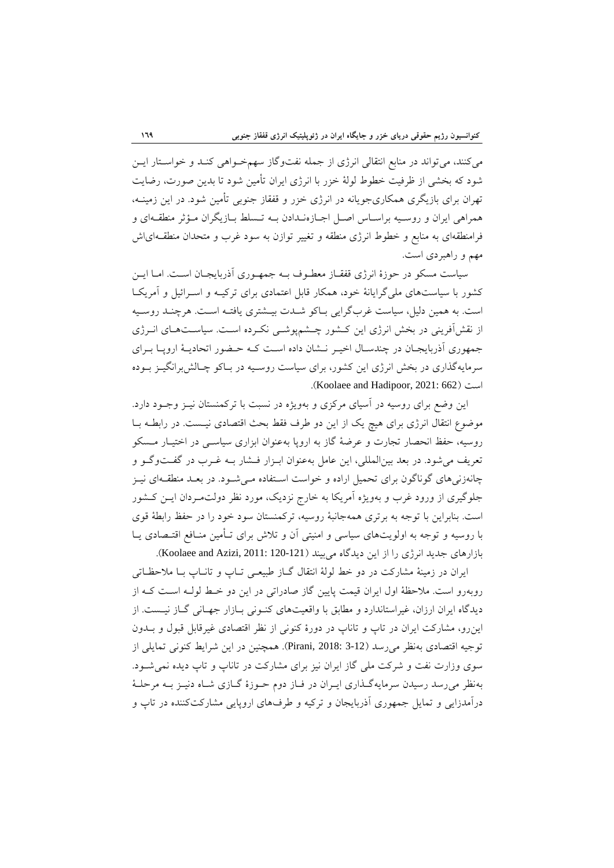ميكنند، ميتواند در منابع انتقالي انرژي از جمله نفتوگاز سهمخـواهي كنـد و خواسـتار ايـن شود كه بخشي از ظرفيت خطوط لولة خزر با انرژي ايران تأمين شود تا بدين صورت، رضايت تهران براي بازيگري همكاريجويانه در انرژي خزر و قفقاز جنوبي تأمين شود. در اين زمينـه، همراهي ايران و روسـيه براسـاس اصـل اجـازهنـدادن بـه تـسلط بـازيگران مـؤثر منطقـهاي و فرامنطقهاي به منابع و خطوط انرژي منطقه و تغيير توازن به سود غرب و متحدان منطقـهاياش مهم و راهبردي است.

سياست مسكو در حوزة انرژي قفقـاز معطـوف بـه جمهـوري آذربايجـان اسـت. امـا ايـن كشور با سياستهاي مليگرايانة خود، همكار قابل اعتمادي براي تركيـه و اسـرائيل و آمريكـا است. به همين دليل، سياست غربگرايي بـاكو شـدت بيـشتري يافتـه اسـت. هرچنـد روسـيه از نقشآفريني در بخش انرژي اين كـشور چـشمپوشـي نكـرده اسـت. سياسـتهـاي انـرژي جمهوري آذربايجـان در چندسـال اخيـر نـشان داده اسـت كـه حـضور اتحاديـة اروپـا بـراي سرمايهگذاري در بخش انرژي اين كشور، براي سياست روسـيه در بـاكو چـالشبرانگيـز بـوده .(Koolaee and Hadipoor, 2021: 662) است

اين وضع براي روسيه در آسياي مركزي و بهويژه در نسبت با تركمنستان نيـز وجـود دارد. موضوع انتقال انرژي براي هيچ يك از اين دو طرف فقط بحث اقتصادي نيـست. در رابطـه بـا روسيه، حفظ انحصار تجارت و عرضة گاز به اروپا بهعنوان ابزاري سياسـي در اختيـار مـسكو تعريف ميشود. در بعد بينالمللي، اين عامل بهعنوان ابـزار فـشار بـه غـرب در گفـتوگـو و چانهزنيهاي گوناگون براي تحميل اراده و خواست اسـتفاده مـيشـود. در بعـد منطقـهاي نيـز جلوگيري از ورود غرب و بهويژه آمريكا به خارج نزديك، مورد نظر دولتمـردان ايـن كـشور است. بنابراين با توجه به برتري همهجانبة روسيه، تركمنستان سود خود را در حفظ رابطة قوي با روسيه و توجه به اولويتهاي سياسي و امنيتي آن و تلاش براي تـأمين منـافع اقتـصادي يـا بازارهاي جديد انرژي را از اين ديدگاه ميبيند (121-120 Xoolaee and Azizi, 2011: 120).

ايران در زمينة مشاركت در دو خط لولة انتقال گـاز طبيعـي تـاپ و تانـاپ بـا ملاحظـاتي روبهرو است. ملاحظة اول ايران قيمت پايين گاز صادراتي در اين دو خـط لولـه اسـت كـه از ديدگاه ايران ارزان، غيراستاندارد و مطابق با واقعيتهاي كنـوني بـازار جهـاني گـاز نيـست. از اينرو، مشاركت ايران در تاپ و تاناپ در دورة كنوني از نظر اقتصادي غيرقابل قبول و بـدون توجيه اقتصادي بهنظر مي رسد (3-12 :Pirani, 2018). همچنين در اين شرايط كنوني تمايلي از سوي وزارت نفت و شركت ملي گاز ايران نيز براي مشاركت در تاناپ و تاپ ديده نميشـود. بهنظر ميرسد رسيدن سرمايهگـذاري ايـران در فـاز دوم حـوزة گـازي شـاه دنيـز بـه مرحلـة درآمدزايي و تمايل جمهوري آذربايجان و تركيه و طرفهاي اروپايي مشاركتكننده در تاپ و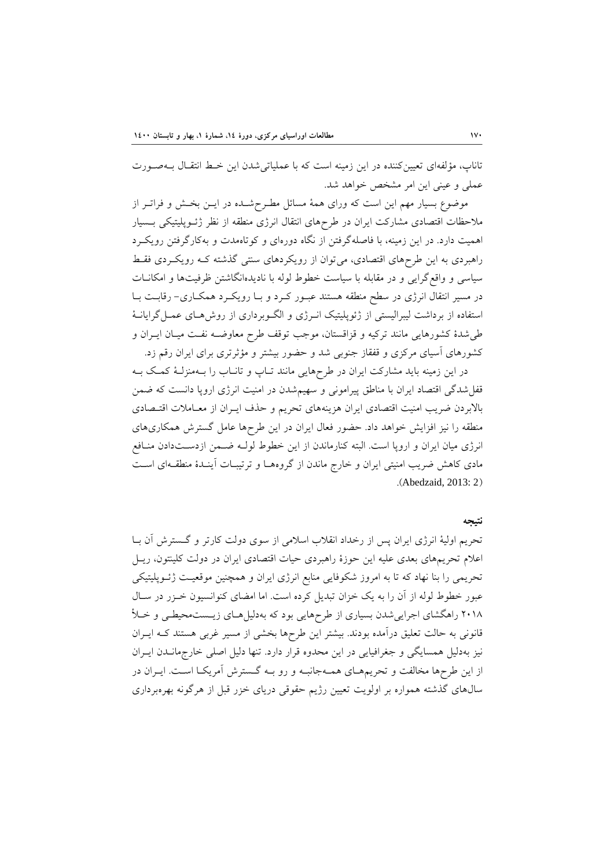تاناپ، مؤلفهاي تعيينكننده در اين زمينه است كه با عملياتيشدن اين خـط انتقـال بـهصـورت عملي و عيني اين امر مشخص خواهد شد.

موضوع بسيار مهم اين است كه وراي همة مسائل مطـرحشـده در ايـن بخـش و فراتـر از ملاحظات اقتصادي مشاركت ايران در طرحهاي انتقال انرژي منطقه از نظر ژئـوپليتيكي بـسيار اهميت دارد. در اين زمينه، با فاصلهگرفتن از نگاه دورهاي و كوتاهمدت و بهكارگرفتن رويكـرد راهبردي به اين طرحهاي اقتصادي، ميتوان از رويكردهاي سنتي گذشته كـه رويكـردي فقـط سياسي و واقعگرايي و در مقابله با سياست خطوط لوله با ناديدهانگاشتن ظرفيتها و امكانـات در مسير انتقال انرژي در سطح منطقه هستند عبـور كـرد و بـا رويكـرد همكـاري- رقابـت بـا استفاده از برداشت ليبراليستي از ژئوپليتيك انـرژي و الگـوبرداري از روشهـاي عمـلگرايانـة طيشدة كشورهايي مانند تركيه و قزاقستان، موجب توقف طرح معاوضـه نفـت ميـان ايـران و كشورهاي آسياي مركزي و قفقاز جنوبي شد و حضور بيشتر و مؤثرتري براي ايران رقم زد.

در اين زمينه بايد مشاركت ايران در طرحهايي مانند تـاپ و تانـاب را بـهمنزلـة كمـك بـه قفلشدگي اقتصاد ايران با مناطق پيراموني و سهيمشدن در امنيت انرژي اروپا دانست كه ضمن بالابردن ضريب امنيت اقتصادي ايران هزينههاي تحريم و حذف ايـران از معـاملات اقتـصادي منطقه را نيز افزايش خواهد داد. حضور فعال ايران در اين طرحها عامل گسترش همكاريهاي انرژي ميان ايران و اروپا است. البته كنارماندن از اين خطوط لولـه ضـمن ازدسـتدادن منـافع مادي كاهش ضريب امنيتي ايران و خارج ماندن از گروههـا و ترتيبـات آينـدة منطقـهاي اسـت .(Abedzaid, 2013: 2)

#### **نتيجه**

تحريم اولية انرژي ايران پس از رخداد انقلاب اسلامي از سوي دولت كارتر و گـسترش آن بـا اعلام تحريمهاي بعدي عليه اين حوزة راهبردي حيات اقتصادي ايران در دولت كلينتون، ريـل تحريمي را بنا نهاد كه تا به امروز شكوفايي منابع انرژي ايران و همچنين موقعيـت ژئـوپليتيكي عبور خطوط لوله از آن را به يك خزان تبديل كرده است. اما امضاي كنوانسيون خـزر در سـال 2018 راهگشاي اجراييشدن بسياري از طرحهايي بود كه بهدليلهـاي زيـستمحيطـي و خـلأ قانوني به حالت تعليق درآمده بودند. بيشتر اين طرحها بخشي از مسير غربي هستند كـه ايـران نيز بهدليل همسايگي و جغرافيايي در اين محدوه قرار دارد. تنها دليل اصلي خارجمانـدن ايـران از اين طرحها مخالفت و تحريمهـاي همـهجانبـه و رو بـه گـسترش آمريكـا اسـت. ايـران در سالهاي گذشته همواره بر اولويت تعيين رژيم حقوقي درياي خزر قبل از هرگونه بهرهبرداري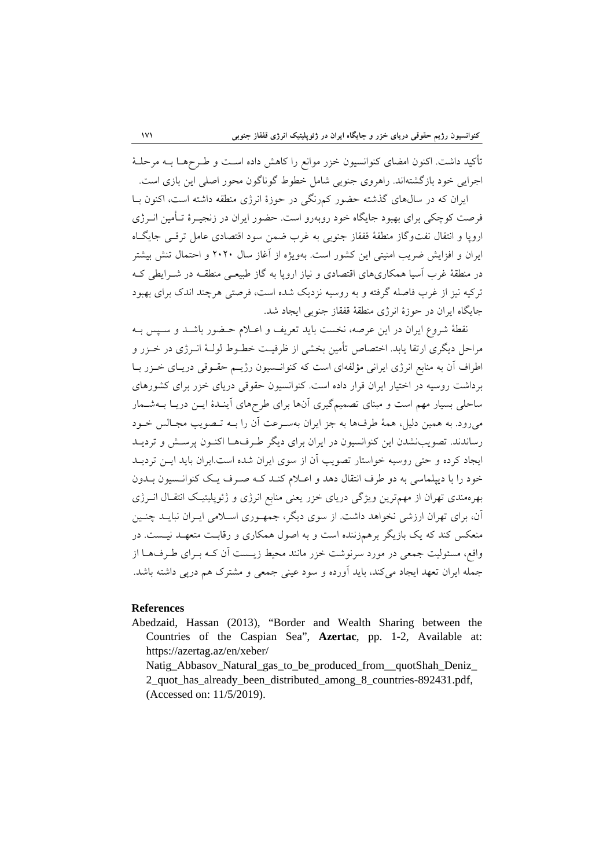تأكيد داشت. اكنون امضاي كنوانسيون خزر موانع را كاهش داده اسـت و طـرحهـا بـه مرحلـة اجرايي خود بازگشتهاند. راهروي جنوبي شامل خطوط گوناگون محور اصلي اين بازي است.

ايران كه در سالهاي گذشته حضور كمرنگي در حوزة انرژي منطقه داشته است، اكنون بـا فرصت كوچكي براي بهبود جايگاه خود روبهرو است. حضور ايران در زنجيـرة تـأمين انـرژي اروپا و انتقال نفتوگاز منطقة قفقاز جنوبي به غرب ضمن سود اقتصادي عامل ترقـي جايگـاه ايران و افزايش ضريب امنيتي اين كشور است. بهويژه از آغاز سال 2020 و احتمال تنش بيشتر در منطقة غرب آسيا همكاريهاي اقتصادي و نياز اروپا به گاز طبيعـي منطقـه در شـرايطي كـه تركيه نيز از غرب فاصله گرفته و به روسيه نزديك شده است، فرصتي هرچند اندك براي بهبود جايگاه ايران در حوزة انرژي منطقة قفقاز جنوبي ايجاد شد.

نقطة شروع ايران در اين عرصه، نخست بايد تعريف و اعـلام حـضور باشـد و سـپس بـه مراحل ديگري ارتقا يابد. اختصاص تأمين بخشي از ظرفيـت خطـوط لولـة انـرژي در خـزر و اطراف آن به منابع انرژي ايراني مؤلفهاي است كه كنوانـسيون رژيـم حقـوقي دريـاي خـزر بـا برداشت روسيه در اختيار ايران قرار داده است. كنوانسيون حقوقي درياي خزر براي كشورهاي ساحلي بسيار مهم است و مبناي تصميمگيري آنها براي طرحهاي آينـدة ايـن دريـا بـهشـمار ميرود. به همين دليل، همة طرفها به جز ايران بهسـرعت آن را بـه تـصويب مجـالس خـود رساندند. تصويبنشدن اين كنوانسيون در ايران براي ديگر طـرفهـا اكنـون پرسـش و ترديـد ايجاد كرده و حتي روسيه خواستار تصويب آن از سوي ايران شده است.ايران بايد ايـن ترديـد خود را با ديپلماسي به دو طرف انتقال دهد و اعـلام كنـد كـه صـرف يـك كنوانـسيون بـدون بهرهمندي تهران از مهمترين ويژگي درياي خزر يعني منابع انرژي و ژئوپليتيـك انتقـال انـرژي آن، براي تهران ارزشي نخواهد داشت. از سوي ديگر، جمهـوري اسـلامي ايـران نبايـد چنـين منعكس كند كه يك بازيگر برهمزننده است و به اصول همكاري و رقابـت متعهـد نيـست. در واقع، مسئوليت جمعي در مورد سرنوشت خزر مانند محيط زيـست آن كـه بـراي طـرفهـا از جمله ايران تعهد ايجاد ميكند، بايد آورده و سود عيني جمعي و مشترك هم درپي داشته باشد.

#### **References**

Abedzaid, Hassan (2013), "Border and Wealth Sharing between the Countries of the Caspian Sea", **Azertac**, pp. 1-2, Available at: https://azertag.az/en/xeber/

Natig\_Abbasov\_Natural\_gas\_to\_be\_produced\_from\_\_quotShah\_Deniz\_ 2\_quot\_has\_already\_been\_distributed\_among\_8\_countries-892431.pdf, (Accessed on: 11/5/2019).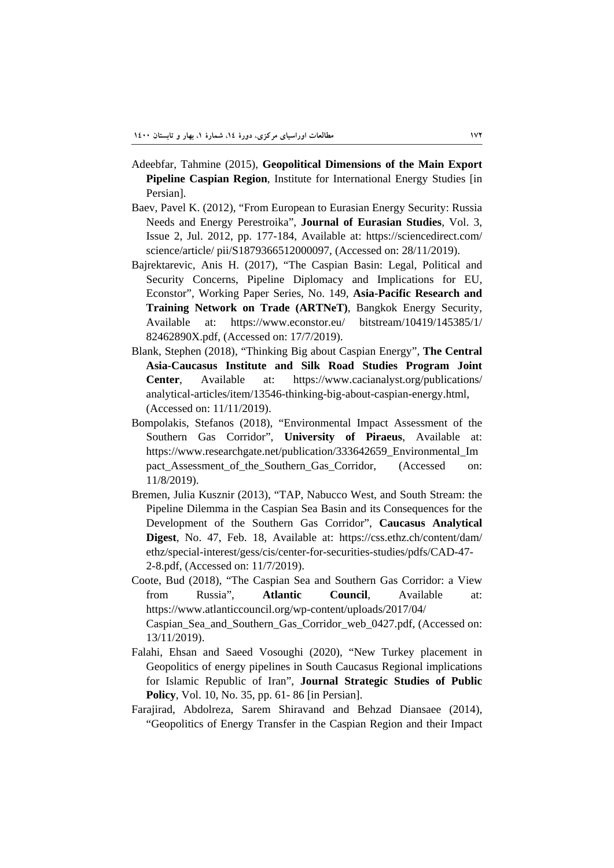- Adeebfar, Tahmine (2015), **Geopolitical Dimensions of the Main Export Pipeline Caspian Region**, Institute for International Energy Studies [in Persian].
- Baev, Pavel K. (2012), "From European to Eurasian Energy Security: Russia Needs and Energy Perestroika", **Journal of Eurasian Studies**, Vol. 3, Issue 2, Jul. 2012, pp. 177-184, Available at: https://sciencedirect.com/ science/article/ pii/S1879366512000097, (Accessed on: 28/11/2019).
- Bajrektarevic, Anis H. (2017), "The Caspian Basin: Legal, Political and Security Concerns, Pipeline Diplomacy and Implications for EU, Econstor", Working Paper Series, No. 149, **Asia-Pacific Research and Training Network on Trade (ARTNeT)**, Bangkok Energy Security, Available at: https://www.econstor.eu/ bitstream/10419/145385/1/ 82462890X.pdf, (Accessed on: 17/7/2019).
- Blank, Stephen (2018), "Thinking Big about Caspian Energy", **The Central Asia-Caucasus Institute and Silk Road Studies Program Joint Center**, Available at: https://www.cacianalyst.org/publications/ analytical-articles/item/13546-thinking-big-about-caspian-energy.html, (Accessed on: 11/11/2019).
- Bompolakis, Stefanos (2018), "Environmental Impact Assessment of the Southern Gas Corridor", **University of Piraeus**, Available at: https://www.researchgate.net/publication/333642659\_Environmental\_Im pact Assessment of the Southern Gas Corridor, (Accessed on: 11/8/2019).
- Bremen, Julia Kusznir (2013), "TAP, Nabucco West, and South Stream: the Pipeline Dilemma in the Caspian Sea Basin and its Consequences for the Development of the Southern Gas Corridor", **Caucasus Analytical Digest**, No. 47, Feb. 18, Available at: https://css.ethz.ch/content/dam/ ethz/special-interest/gess/cis/center-for-securities-studies/pdfs/CAD-47- 2-8.pdf, (Accessed on: 11/7/2019).
- Coote, Bud (2018), "The Caspian Sea and Southern Gas Corridor: a View from Russia", **Atlantic Council**, Available at: https://www.atlanticcouncil.org/wp-content/uploads/2017/04/ Caspian\_Sea\_and\_Southern\_Gas\_Corridor\_web\_0427.pdf, (Accessed on: 13/11/2019).
- Falahi, Ehsan and Saeed Vosoughi (2020), "New Turkey placement in Geopolitics of energy pipelines in South Caucasus Regional implications for Islamic Republic of Iran", **Journal Strategic Studies of Public Policy**, Vol. 10, No. 35, pp. 61- 86 [in Persian].
- Farajirad, Abdolreza, Sarem Shiravand and Behzad Diansaee (2014), "Geopolitics of Energy Transfer in the Caspian Region and their Impact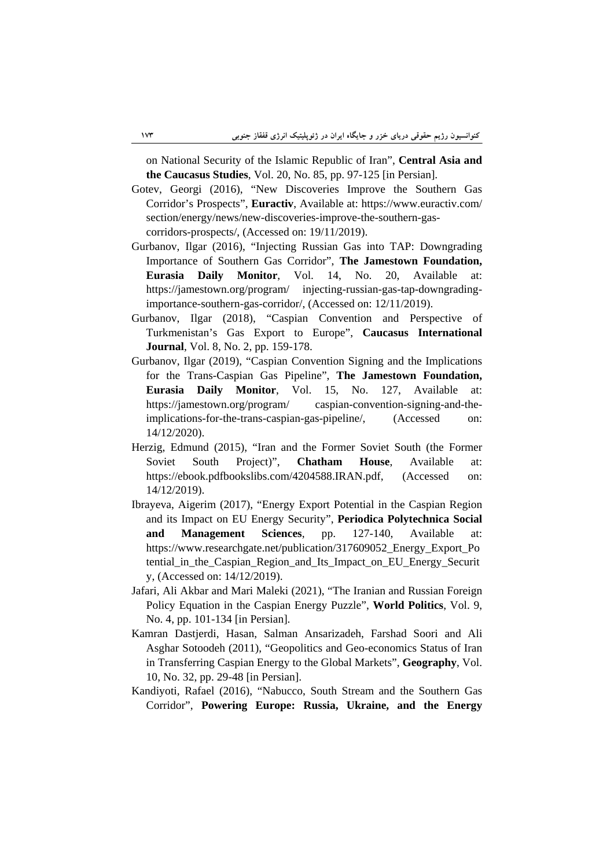on National Security of the Islamic Republic of Iran", **Central Asia and the Caucasus Studies**, Vol. 20, No. 85, pp. 97-125 [in Persian].

- Gotev, Georgi (2016), "New Discoveries Improve the Southern Gas Corridor's Prospects", **Euractiv**, Available at: https://www.euractiv.com/ section/energy/news/new-discoveries-improve-the-southern-gascorridors-prospects/, (Accessed on: 19/11/2019).
- Gurbanov, Ilgar (2016), "Injecting Russian Gas into TAP: Downgrading Importance of Southern Gas Corridor", **The Jamestown Foundation, Eurasia Daily Monitor**, Vol. 14, No. 20, Available at: https://jamestown.org/program/ injecting-russian-gas-tap-downgradingimportance-southern-gas-corridor/, (Accessed on: 12/11/2019).
- Gurbanov, Ilgar (2018), "Caspian Convention and Perspective of Turkmenistan's Gas Export to Europe", **Caucasus International Journal**, Vol. 8, No. 2, pp. 159-178.
- Gurbanov, Ilgar (2019), "Caspian Convention Signing and the Implications for the Trans-Caspian Gas Pipeline", **The Jamestown Foundation, Eurasia Daily Monitor**, Vol. 15, No. 127, Available at: https://jamestown.org/program/ caspian-convention-signing-and-theimplications-for-the-trans-caspian-gas-pipeline/, (Accessed on: 14/12/2020).
- Herzig, Edmund (2015), "Iran and the Former Soviet South (the Former Soviet South Project)", **Chatham House**, Available at: https://ebook.pdfbookslibs.com/4204588.IRAN.pdf, (Accessed on: 14/12/2019).
- Ibrayeva, Aigerim (2017), "Energy Export Potential in the Caspian Region and its Impact on EU Energy Security", **Periodica Polytechnica Social and Management Sciences**, pp. 127-140, Available at: https://www.researchgate.net/publication/317609052\_Energy\_Export\_Po tential\_in\_the\_Caspian\_Region\_and\_Its\_Impact\_on\_EU\_Energy\_Securit y, (Accessed on: 14/12/2019).
- Jafari, Ali Akbar and Mari Maleki (2021), "The Iranian and Russian Foreign Policy Equation in the Caspian Energy Puzzle", **World Politics**, Vol. 9, No. 4, pp. 101-134 [in Persian].
- Kamran Dastjerdi, Hasan, Salman Ansarizadeh, Farshad Soori and Ali Asghar Sotoodeh (2011), "Geopolitics and Geo-economics Status of Iran in Transferring Caspian Energy to the Global Markets", **Geography**, Vol. 10, No. 32, pp. 29-48 [in Persian].
- Kandiyoti, Rafael (2016), "Nabucco, South Stream and the Southern Gas Corridor", **Powering Europe: Russia, Ukraine, and the Energy**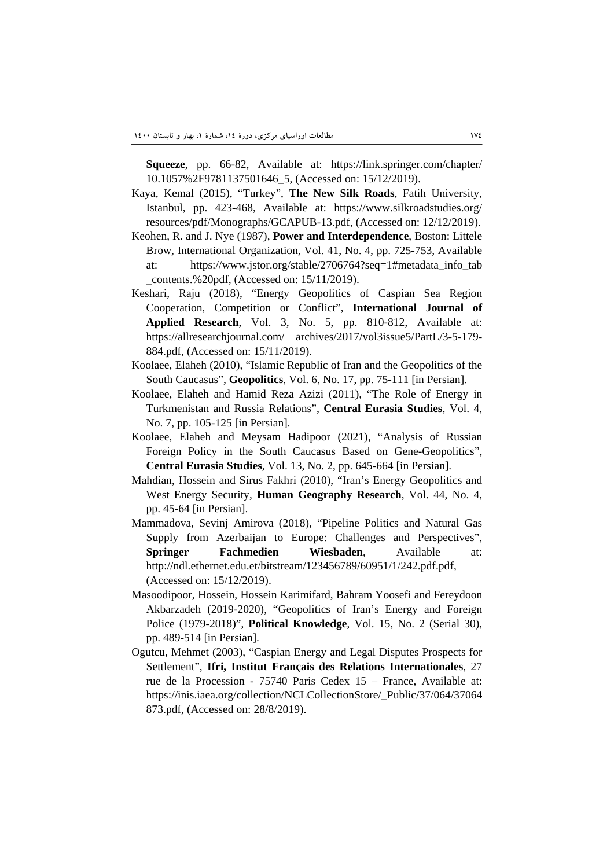**Squeeze**, pp. 66-82, Available at: https://link.springer.com/chapter/ 10.1057%2F9781137501646\_5, (Accessed on: 15/12/2019).

- Kaya, Kemal (2015), "Turkey", **The New Silk Roads**, Fatih University, Istanbul, pp. 423-468, Available at: https://www.silkroadstudies.org/ resources/pdf/Monographs/GCAPUB-13.pdf, (Accessed on: 12/12/2019).
- Keohen, R. and J. Nye (1987), **Power and Interdependence**, Boston: Littele Brow, International Organization, Vol. 41, No. 4, pp. 725-753, Available at: https://www.jstor.org/stable/2706764?seq=1#metadata\_info\_tab \_contents.%20pdf, (Accessed on: 15/11/2019).
- Keshari, Raju (2018), "Energy Geopolitics of Caspian Sea Region Cooperation, Competition or Conflict", **International Journal of Applied Research**, Vol. 3, No. 5, pp. 810-812, Available at: https://allresearchjournal.com/ archives/2017/vol3issue5/PartL/3-5-179- 884.pdf, (Accessed on: 15/11/2019).
- Koolaee, Elaheh (2010), "Islamic Republic of Iran and the Geopolitics of the South Caucasus", **Geopolitics**, Vol. 6, No. 17, pp. 75-111 [in Persian].
- Koolaee, Elaheh and Hamid Reza Azizi (2011), "The Role of Energy in Turkmenistan and Russia Relations", **Central Eurasia Studies**, Vol. 4, No. 7, pp. 105-125 [in Persian].
- Koolaee, Elaheh and Meysam Hadipoor (2021), "Analysis of Russian Foreign Policy in the South Caucasus Based on Gene-Geopolitics", **Central Eurasia Studies**, Vol. 13, No. 2, pp. 645-664 [in Persian].
- Mahdian, Hossein and Sirus Fakhri (2010), "Iran's Energy Geopolitics and West Energy Security, **Human Geography Research**, Vol. 44, No. 4, pp. 45-64 [in Persian].
- Mammadova, Sevinj Amirova (2018), "Pipeline Politics and Natural Gas Supply from Azerbaijan to Europe: Challenges and Perspectives", **Springer Fachmedien Wiesbaden**, Available at: http://ndl.ethernet.edu.et/bitstream/123456789/60951/1/242.pdf.pdf, (Accessed on: 15/12/2019).
- Masoodipoor, Hossein, Hossein Karimifard, Bahram Yoosefi and Fereydoon Akbarzadeh (2019-2020), "Geopolitics of Iran's Energy and Foreign Police (1979-2018)", **Political Knowledge**, Vol. 15, No. 2 (Serial 30), pp. 489-514 [in Persian].
- Ogutcu, Mehmet (2003), "Caspian Energy and Legal Disputes Prospects for Settlement", **Ifri, Institut Français des Relations Internationales**, 27 rue de la Procession - 75740 Paris Cedex 15 – France, Available at: https://inis.iaea.org/collection/NCLCollectionStore/\_Public/37/064/37064 873.pdf, (Accessed on: 28/8/2019).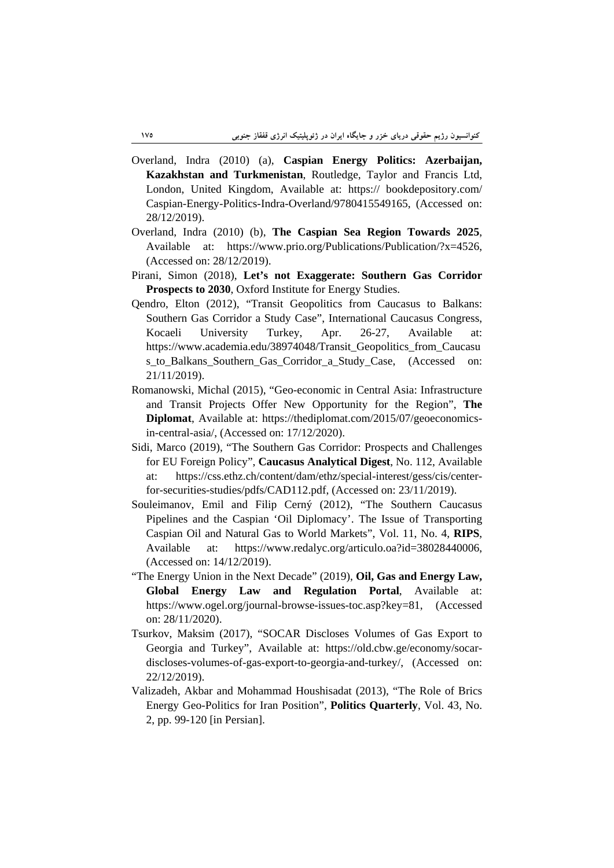- Overland, Indra (2010) (a), **Caspian Energy Politics: Azerbaijan, Kazakhstan and Turkmenistan**, Routledge, Taylor and Francis Ltd, London, United Kingdom, Available at: https:// bookdepository.com/ Caspian-Energy-Politics-Indra-Overland/9780415549165, (Accessed on: 28/12/2019).
- Overland, Indra (2010) (b), **The Caspian Sea Region Towards 2025**, Available at: https://www.prio.org/Publications/Publication/?x=4526, (Accessed on: 28/12/2019).
- Pirani, Simon (2018), **Let's not Exaggerate: Southern Gas Corridor Prospects to 2030**, Oxford Institute for Energy Studies.
- Qendro, Elton (2012), "Transit Geopolitics from Caucasus to Balkans: Southern Gas Corridor a Study Case", International Caucasus Congress, Kocaeli University Turkey, Apr. 26-27, Available at: https://www.academia.edu/38974048/Transit\_Geopolitics\_from\_Caucasu s\_to\_Balkans\_Southern\_Gas\_Corridor\_a\_Study\_Case, (Accessed on: 21/11/2019).
- Romanowski, Michal (2015), "Geo-economic in Central Asia: Infrastructure and Transit Projects Offer New Opportunity for the Region", **The Diplomat**, Available at: https://thediplomat.com/2015/07/geoeconomicsin-central-asia/, (Accessed on: 17/12/2020).
- Sidi, Marco (2019), "The Southern Gas Corridor: Prospects and Challenges for EU Foreign Policy", **Caucasus Analytical Digest**, No. 112, Available at: https://css.ethz.ch/content/dam/ethz/special-interest/gess/cis/centerfor-securities-studies/pdfs/CAD112.pdf, (Accessed on: 23/11/2019).
- Souleimanov, Emil and Filip Cerný (2012), "The Southern Caucasus Pipelines and the Caspian 'Oil Diplomacy'. The Issue of Transporting Caspian Oil and Natural Gas to World Markets", Vol. 11, No. 4, **RIPS**, Available at: https://www.redalyc.org/articulo.oa?id=38028440006, (Accessed on: 14/12/2019).
- "The Energy Union in the Next Decade" (2019), **Oil, Gas and Energy Law, Global Energy Law and Regulation Portal**, Available at: https://www.ogel.org/journal-browse-issues-toc.asp?key=81, (Accessed on: 28/11/2020).
- Tsurkov, Maksim (2017), "SOCAR Discloses Volumes of Gas Export to Georgia and Turkey", Available at: https://old.cbw.ge/economy/socardiscloses-volumes-of-gas-export-to-georgia-and-turkey/, (Accessed on: 22/12/2019).
- Valizadeh, Akbar and Mohammad Houshisadat (2013), "The Role of Brics Energy Geo-Politics for Iran Position", **Politics Quarterly**, Vol. 43, No. 2, pp. 99-120 [in Persian].